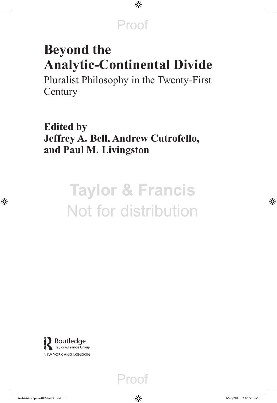⊕

# **Beyond the Analytic-Continental Divide**

Pluralist Philosophy in the Twenty-First **Century** 

**Edited by Jeffrey A. Bell, Andrew Cutrofello, and Paul M. Livingston**

# **Taylor & Francis** Not for distribution



⊕

⊕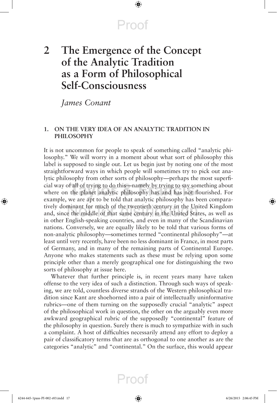⊕

### **2 The Emergence of the Concept of the Analytic Tradition as a Form of Philosophical Self-Consciousness**

*James Conant*

#### **1. ON THE VERY IDEA OF AN ANALYTIC TRADITION IN PHILOSOPHY**

It is not uncommon for people to speak of something called "analytic philosophy." We will worry in a moment about what sort of philosophy this label is supposed to single out. Let us begin just by noting one of the most straightforward ways in which people will sometimes try to pick out analytic philosophy from other sorts of philosophy—perhaps the most superficial way of all of trying to do this—namely by trying to say something about where on the planet analytic philosophy has and has not flourished. For example, we are apt to be told that analytic philosophy has been comparatively dominant for much of the twentieth century in the United Kingdom and, since the middle of that same century in the United States, as well as in other English-speaking countries, and even in many of the Scandinavian nations. Conversely, we are equally likely to be told that various forms of non-analytic philosophy—sometimes termed "continental philosophy"—at least until very recently, have been no less dominant in France, in most parts of Germany, and in many of the remaining parts of Continental Europe. Anyone who makes statements such as these must be relying upon some principle other than a merely geographical one for distinguishing the two sorts of philosophy at issue here.

Whatever that further principle is, in recent years many have taken offense to the very idea of such a distinction. Through such ways of speaking, we are told, countless diverse strands of the Western philosophical tradition since Kant are shoehorned into a pair of intellectually uninformative rubrics—one of them turning on the supposedly crucial "analytic" aspect of the philosophical work in question, the other on the arguably even more awkward geographical rubric of the supposedly "continental" feature of the philosophy in question. Surely there is much to sympathize with in such a complaint. A host of difficulties necessarily attend any effort to deploy a pair of classificatory terms that are as orthogonal to one another as are the categories "analytic" and "continental." On the surface, this would appear

⊕

⊕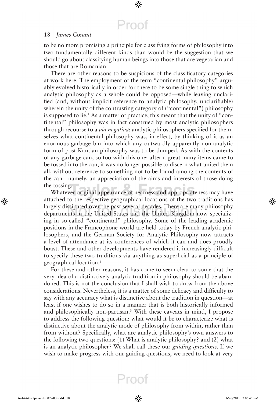⊕

#### 18 *James Conant*

to be no more promising a principle for classifying forms of philosophy into two fundamentally different kinds than would be the suggestion that we should go about classifying human beings into those that are vegetarian and those that are Romanian.

There are other reasons to be suspicious of the classificatory categories at work here. The employment of the term "continental philosophy" arguably evolved historically in order for there to be some single thing to which analytic philosophy as a whole could be opposed—while leaving unclarified (and, without implicit reference to analytic philosophy, unclarifiable) wherein the unity of the contrasting category of ("continental") philosophy is supposed to lie.1 As a matter of practice, this meant that the unity of "continental" philosophy was in fact construed by most analytic philosophers through recourse to a *via negativa*: analytic philosophers specified for themselves what continental philosophy was, in effect, by thinking of it as an enormous garbage bin into which any outwardly apparently non-analytic form of post-Kantian philosophy was to be dumped. As with the contents of any garbage can, so too with this one: after a great many items came to be tossed into the can, it was no longer possible to discern what united them all, without reference to something not to be found among the contents of the can—namely, an appreciation of the aims and interests of those doing the tossing. **STIP** 

Whatever original appearance of neatness and appropriateness may have attached to the respective geographical locations of the two traditions has largely dissipated over the past several decades. There are many philosophy departments in the United States and the United Kingdom now specializing in so-called "continental" philosophy. Some of the leading academic positions in the Francophone world are held today by French analytic philosophers, and the German Society for Analytic Philosophy now attracts a level of attendance at its conferences of which it can and does proudly boast. These and other developments have rendered it increasingly difficult to specify these two traditions via anything as superficial as a principle of geographical location.2

For these and other reasons, it has come to seem clear to some that the very idea of a distinctively analytic tradition in philosophy should be abandoned. This is not the conclusion that I shall wish to draw from the above considerations. Nevertheless, it is a matter of some delicacy and difficulty to say with any accuracy what is distinctive about the tradition in question—at least if one wishes to do so in a manner that is both historically informed and philosophically non-partisan.3 With these caveats in mind, I propose to address the following question: what would it be to characterize what is distinctive about the analytic mode of philosophy from within, rather than from without? Specifically, what are analytic philosophy's own answers to the following two questions: (1) What is analytic philosophy? and (2) what is an analytic philosopher? We shall call these our *guiding questions*. If we wish to make progress with our guiding questions, we need to look at very

⊕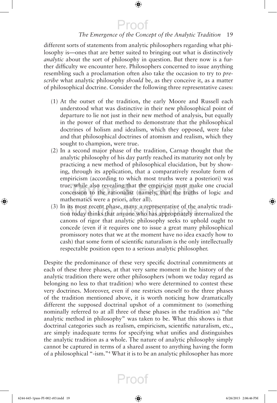⊕

### *The Emergence of the Concept of the Analytic Tradition* 19

different sorts of statements from analytic philosophers regarding what philosophy is—ones that are better suited to bringing out what is distinctively *analytic* about the sort of philosophy in question. But there now is a further difficulty we encounter here. Philosophers concerned to issue anything resembling such a proclamation often also take the occasion to try to *prescribe* what analytic philosophy *should* be, as they conceive it, as a matter of philosophical doctrine. Consider the following three representative cases:

- (1) At the outset of the tradition, the early Moore and Russell each understood what was distinctive in their new philosophical point of departure to lie not just in their new method of analysis, but equally in the power of that method to demonstrate that the philosophical doctrines of holism and idealism, which they opposed, were false and that philosophical doctrines of atomism and realism, which they sought to champion, were true.
- (2) In a second major phase of the tradition, Carnap thought that the analytic philosophy of his day partly reached its maturity not only by practicing a new method of philosophical elucidation, but by showing, through its application, that a comparatively resolute form of empiricism (according to which most truths were a posteriori) was true, while also revealing that the empiricist must make one crucial concession to the rationalist (namely, that the truths of logic and mathematics were a priori, after all).
- (3) In its most recent phase, many a representative of the analytic tradition today thinks that anyone who has appropriately internalized the canons of rigor that analytic philosophy seeks to uphold ought to concede (even if it requires one to issue a great many philosophical promissory notes that we at the moment have no idea exactly how to cash) that some form of scientific naturalism is the only intellectually respectable position open to a serious analytic philosopher.

Despite the predominance of these very specific doctrinal commitments at each of these three phases, at that very same moment in the history of the analytic tradition there were other philosophers (whom we today regard as belonging no less to that tradition) who were determined to contest these very doctrines. Moreover, even if one restricts oneself to the three phases of the tradition mentioned above, it is worth noticing how dramatically different the supposed doctrinal upshot of a commitment to (something nominally referred to at all three of these phases in the tradition as) "the analytic method in philosophy" was taken to be. What this shows is that doctrinal categories such as realism, empiricism, scientific naturalism, etc., are simply inadequate terms for specifying what unifies and distinguishes the analytic tradition as a whole. The nature of analytic philosophy simply cannot be captured in terms of a shared assent to anything having the form of a philosophical "-ism."4 What it is to be an analytic philosopher has more



⊕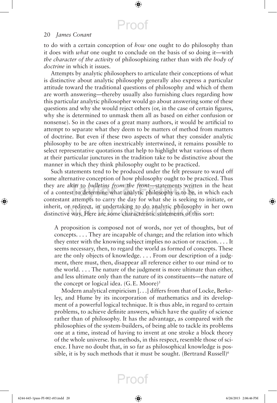⊕

#### 20 *James Conant*

to do with a certain conception of *how* one ought to do philosophy than it does with *what* one ought to conclude on the basis of so doing it—with *the character of the activity* of philosophizing rather than with *the body of doctrine* in which it issues.

Attempts by analytic philosophers to articulate their conceptions of what is distinctive about analytic philosophy generally also express a particular attitude toward the traditional questions of philosophy and which of them are worth answering—thereby usually also furnishing clues regarding how this particular analytic philosopher would go about answering some of these questions and why she would reject others (or, in the case of certain figures, why she is determined to unmask them all as based on either confusion or nonsense). So in the cases of a great many authors, it would be artificial to attempt to separate what they deem to be matters of method from matters of doctrine. But even if these two aspects of what they consider analytic philosophy to be are often inextricably intertwined, it remains possible to select representative quotations that help to highlight what various of them at their particular junctures in the tradition take to be distinctive about the manner in which they think philosophy ought to be practiced.

Such statements tend to be produced under the felt pressure to ward off some alternative conception of how philosophy ought to be practiced. Thus they are akin to *bulletins from the front—*statements written in the heat of a contest to determine what analytic philosophy is to be, in which each contestant attempts to carry the day for what she is seeking to initiate, or inherit, or redirect, in undertaking to do analytic philosophy in her own distinctive way. Here are some characteristic statements of this sort:

A proposition is composed not of words, nor yet of thoughts, but of concepts. . . . They are incapable of change; and the relation into which they enter with the knowing subject implies no action or reaction. . . . It seems necessary, then, to regard the world as formed of concepts. These are the only objects of knowledge. . . . From our description of a judgment, there must, then, disappear all reference either to our mind or to the world. . . . The nature of the judgment is more ultimate than either, and less ultimate only than the nature of its constituents—the nature of the concept or logical idea.  $(G, E, Moore)^5$ 

Modern analytical empiricism [. . .] differs from that of Locke, Berkeley, and Hume by its incorporation of mathematics and its development of a powerful logical technique. It is thus able, in regard to certain problems, to achieve definite answers, which have the quality of science rather than of philosophy. It has the advantage, as compared with the philosophies of the system-builders, of being able to tackle its problems one at a time, instead of having to invent at one stroke a block theory of the whole universe. Its methods, in this respect, resemble those of science. I have no doubt that, in so far as philosophical knowledge is possible, it is by such methods that it must be sought. (Bertrand Russell)<sup>6</sup>

⊕

⊕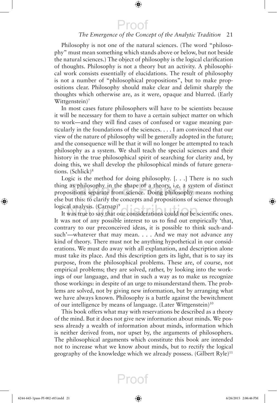⊕

### *The Emergence of the Concept of the Analytic Tradition* 21

Philosophy is not one of the natural sciences. (The word "philosophy" must mean something which stands above or below, but not beside the natural sciences.) The object of philosophy is the logical clarification of thoughts. Philosophy is not a theory but an activity. A philosophical work consists essentially of elucidations. The result of philosophy is not a number of "philosophical propositions", but to make propositions clear. Philosophy should make clear and delimit sharply the thoughts which otherwise are, as it were, opaque and blurred. (Early Wittgenstein)<sup>7</sup>

In most cases future philosophers will have to be scientists because it will be necessary for them to have a certain subject matter on which to work—and they will find cases of confused or vague meaning particularly in the foundations of the sciences. . . . I am convinced that our view of the nature of philosophy will be generally adopted in the future; and the consequence will be that it will no longer be attempted to teach philosophy as a system. We shall teach the special sciences and their history in the true philosophical spirit of searching for clarity and, by doing this, we shall develop the philosophical minds of future generations. (Schlick)<sup>8</sup>

Logic is the method for doing philosophy. [. . .] There is no such thing as philosophy in the shape of a theory, i.e. a system of distinct propositions separate from science. Doing philosophy means nothing else but this: to clarify the concepts and propositions of science through logical analysis. (Carnap)<sup>9</sup>

It was true to say that our considerations could not be scientific ones. It was not of any possible interest to us to find out empirically 'that, contrary to our preconceived ideas, it is possible to think such-andsuch'—whatever that may mean. . . . And we may not advance any kind of theory. There must not be anything hypothetical in our considerations. We must do away with all explanation, and description alone must take its place. And this description gets its light, that is to say its purpose, from the philosophical problems. These are, of course, not empirical problems; they are solved, rather, by looking into the workings of our language, and that in such a way as to make us recognize those workings: in despite of an urge to misunderstand them. The problems are solved, not by giving new information, but by arranging what we have always known. Philosophy is a battle against the bewitchment of our intelligence by means of language. (Later Wittgenstein)<sup>10</sup>

This book offers what may with reservations be described as a theory of the mind. But it does not give new information about minds. We possess already a wealth of information about minds, information which is neither derived from, nor upset by, the arguments of philosophers. The philosophical arguments which constitute this book are intended not to increase what we know about minds, but to rectify the logical geography of the knowledge which we already possess. (Gilbert Ryle)<sup>11</sup>

⊕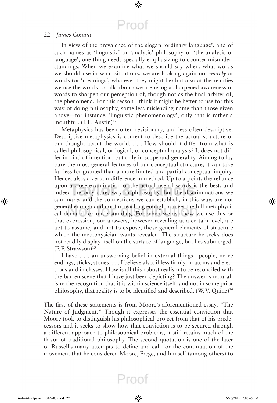⊕

#### 22 *James Conant*

In view of the prevalence of the slogan 'ordinary language', and of such names as 'linguistic' or 'analytic' philosophy or 'the analysis of language', one thing needs specially emphasizing to counter misunderstandings. When we examine what we should say when, what words we should use in what situations, we are looking again not *merely* at words (or 'meanings', whatever they might be) but also at the realities we use the words to talk about: we are using a sharpened awareness of words to sharpen our perception of, though not as the final arbiter of, the phenomena. For this reason I think it might be better to use for this way of doing philosophy, some less misleading name than those given above—for instance, 'linguistic phenomenology', only that is rather a mouthful.  $(I.L.$  Austin $)^{12}$ 

Metaphysics has been often revisionary, and less often descriptive. Descriptive metaphysics is content to describe the actual structure of our thought about the world. . . . How should it differ from what is called philosophical, or logical, or conceptual analysis? It does not differ in kind of intention, but only in scope and generality. Aiming to lay bare the most general features of our conceptual structure, it can take far less for granted than a more limited and partial conceptual inquiry. Hence, also, a certain difference in method. Up to a point, the reliance upon a close examination of the actual use of words is the best, and indeed the only sure, way in philosophy. But the discriminations we can make, and the connections we can establish, in this way, are not general enough and not far-reaching enough to meet the full metaphysical demand for understanding. For when we ask how we use this or that expression, our answers, however revealing at a certain level, are apt to assume, and not to expose, those general elements of structure which the metaphysician wants revealed. The structure he seeks does not readily display itself on the surface of language, but lies submerged.  $(P. F. Strawson)^{13}$ 

I have . . . an unswerving belief in external things—people, nerve endings, sticks, stones. . . . I believe also, if less firmly, in atoms and electrons and in classes. How is all this robust realism to be reconciled with the barren scene that I have just been depicting? The answer is naturalism: the recognition that it is within science itself, and not in some prior philosophy, that reality is to be identified and described. (W.V. Quine)<sup>14</sup>

The first of these statements is from Moore's aforementioned essay, "The Nature of Judgment." Though it expresses the essential conviction that Moore took to distinguish his philosophical project from that of his predecessors and it seeks to show how that conviction is to be secured through a different approach to philosophical problems, it still retains much of the flavor of traditional philosophy. The second quotation is one of the later of Russell's many attempts to define and call for the continuation of the movement that he considered Moore, Frege, and himself (among others) to

⊕

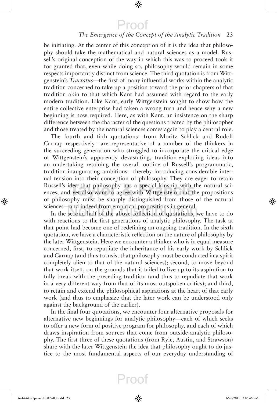⊕

### *The Emergence of the Concept of the Analytic Tradition* 23

be initiating. At the center of this conception of it is the idea that philosophy should take the mathematical and natural sciences as a model. Russell's original conception of the way in which this was to proceed took it for granted that, even while doing so, philosophy would remain in some respects importantly distinct from science. The third quotation is from Wittgenstein's *Tractatus*—the first of many influential works within the analytic tradition concerned to take up a position toward the prior chapters of that tradition akin to that which Kant had assumed with regard to the early modern tradition. Like Kant, early Wittgenstein sought to show how the entire collective enterprise had taken a wrong turn and hence why a new beginning is now required. Here, as with Kant, an insistence on the sharp difference between the character of the questions treated by the philosopher and those treated by the natural sciences comes again to play a central role.

The fourth and fifth quotations—from Moritz Schlick and Rudolf Carnap respectively—are representative of a number of the thinkers in the succeeding generation who struggled to incorporate the critical edge of Wittgenstein's apparently devastating, tradition-exploding ideas into an undertaking retaining the overall outline of Russell's programmatic, tradition-inaugurating ambitions—thereby introducing considerable internal tension into their conception of philosophy. They are eager to retain Russell's idea that philosophy has a special kinship with the natural sciences, and yet also want to agree with Wittgenstein that the propositions of philosophy must be sharply distinguished from those of the natural sciences—and indeed from empirical propositions in general.

In the second half of the above collection of quotations, we have to do with reactions to the first generations of analytic philosophy. The task at that point had become one of redefining an ongoing tradition. In the sixth quotation, we have a characteristic reflection on the nature of philosophy by the later Wittgenstein. Here we encounter a thinker who is in equal measure concerned, first, to repudiate the inheritance of his early work by Schlick and Carnap (and thus to insist that philosophy must be conducted in a spirit completely alien to that of the natural sciences); second, to move beyond that work itself, on the grounds that it failed to live up to its aspiration to fully break with the preceding tradition (and thus to repudiate that work in a very different way from that of its most outspoken critics); and third, to retain and extend the philosophical aspirations at the heart of that early work (and thus to emphasize that the later work can be understood only against the background of the earlier).

In the final four quotations, we encounter four alternative proposals for alternative new beginnings for analytic philosophy—each of which seeks to offer a new form of positive program for philosophy, and each of which draws inspiration from sources that come from outside analytic philosophy. The first three of these quotations (from Ryle, Austin, and Strawson) share with the later Wittgenstein the idea that philosophy ought to do justice to the most fundamental aspects of our everyday understanding of

⊕

⊕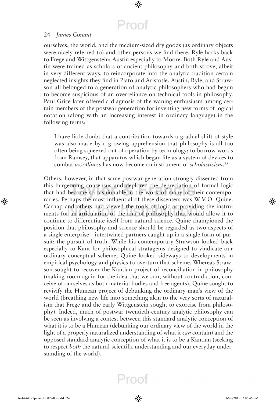⊕

#### 24 *James Conant*

ourselves, the world, and the medium-sized dry goods (as ordinary objects were nicely referred to) and other persons we find there. Ryle harks back to Frege and Wittgenstein; Austin especially to Moore. Both Ryle and Austin were trained as scholars of ancient philosophy and both strove, albeit in very different ways, to reincorporate into the analytic tradition certain neglected insights they find in Plato and Aristotle. Austin, Ryle, and Strawson all belonged to a generation of analytic philosophers who had begun to become suspicious of an overreliance on technical tools in philosophy. Paul Grice later offered a diagnosis of the waning enthusiasm among certain members of the postwar generation for inventing new forms of logical notation (along with an increasing interest in ordinary language) in the following terms:

I have little doubt that a contribution towards a gradual shift of style was also made by a growing apprehension that philosophy is all too often being squeezed out of operation by technology; to borrow words from Ramsey, that apparatus which began life as a system of devices to combat *woolliness* has now become an instrument of *scholasticism*. 15

Others, however, in that same postwar generation strongly dissented from this burgeoning consensus and deplored the depreciation of formal logic that had become so fashionable in the work of many of their contemporaries. Perhaps the most influential of these dissenters was W.V.O. Quine. Carnap and others had viewed the tools of logic as providing the instruments for an articulation of the aim of philosophy that would allow it to continue to differentiate itself from natural science. Quine championed the position that philosophy and science should be regarded as two aspects of a single enterprise—intertwined partners caught up in a single form of pursuit: the pursuit of truth. While his contemporary Strawson looked back especially to Kant for philosophical stratagems designed to vindicate our ordinary conceptual scheme, Quine looked sideways to developments in empirical psychology and physics to overturn that scheme. Whereas Strawson sought to recover the Kantian project of reconciliation in philosophy (making room again for the idea that we can, without contradiction, conceive of ourselves as both material bodies and free agents), Quine sought to revivify the Humean project of debunking the ordinary man's view of the world (breathing new life into something akin to the very sorts of naturalism that Frege and the early Wittgenstein sought to exorcise from philosophy). Indeed, much of postwar twentieth-century analytic philosophy can be seen as involving a contest between this standard analytic conception of what it is to be a Humean (debunking our ordinary view of the world in the light of a properly naturalized understanding of what it *can* contain) and the opposed standard analytic conception of what it is to be a Kantian (seeking to respect *both* the natural-scientific understanding and our everyday understanding of the world).

⊕

⊕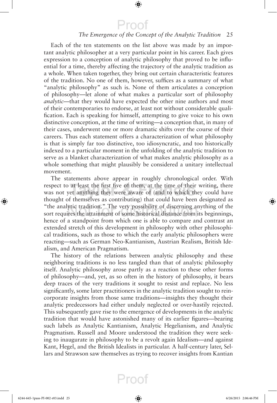⊕

#### *The Emergence of the Concept of the Analytic Tradition* 25

Each of the ten statements on the list above was made by an important analytic philosopher at a very particular point in his career. Each gives expression to a conception of analytic philosophy that proved to be influential for a time, thereby affecting the trajectory of the analytic tradition as a whole. When taken together, they bring out certain characteristic features of the tradition. No one of them, however, suffices as a summary of what "analytic philosophy" as such is. None of them articulates a conception of philosophy—let alone of what makes a particular sort of philosophy *analytic*—that they would have expected the other nine authors and most of their contemporaries to endorse, at least not without considerable qualification. Each is speaking for himself, attempting to give voice to his own distinctive conception, at the time of writing—a conception that, in many of their cases, underwent one or more dramatic shifts over the course of their careers. Thus each statement offers a characterization of what philosophy is that is simply far too distinctive, too idiosyncratic, and too historically indexed to a particular moment in the unfolding of the analytic tradition to serve as a blanket characterization of what makes analytic philosophy as a whole something that might plausibly be considered a unitary intellectual movement.

The statements above appear in roughly chronological order. With respect to at least the first five of them, at the time of their writing, there was not yet anything they were aware of (and to which they could have thought of themselves as contributing) that could have been designated as "the analytic tradition." The very possibility of discerning anything of the sort requires the attainment of some historical distance from its beginnings, hence of a standpoint from which one is able to compare and contrast an extended stretch of this development in philosophy with other philosophical traditions, such as those to which the early analytic philosophers were reacting—such as German Neo-Kantianism, Austrian Realism, British Idealism, and American Pragmatism.

The history of the relations between analytic philosophy and these neighboring traditions is no less tangled than that of analytic philosophy itself. Analytic philosophy arose partly as a reaction to these other forms of philosophy—and, yet, as so often in the history of philosophy, it bears deep traces of the very traditions it sought to resist and replace. No less significantly, some later practitioners in the analytic tradition sought to reincorporate insights from those same traditions—insights they thought their analytic predecessors had either unduly neglected or over-hastily rejected. This subsequently gave rise to the emergence of developments in the analytic tradition that would have astonished many of its earlier figures—bearing such labels as Analytic Kantianism, Analytic Hegelianism, and Analytic Pragmatism. Russell and Moore understood the tradition they were seeking to inaugurate in philosophy to be a revolt again Idealism—and against Kant, Hegel, and the British Idealists in particular. A half-century later, Sellars and Strawson saw themselves as trying to recover insights from Kantian

⊕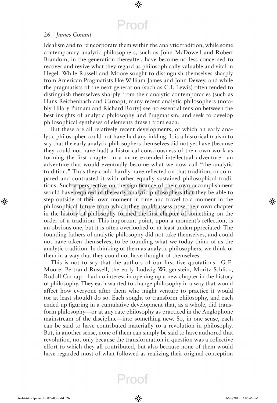⊕

#### 26 *James Conant*

Idealism and to reincorporate them within the analytic tradition; while some contemporary analytic philosophers, such as John McDowell and Robert Brandom, in the generation thereafter, have become no less concerned to recover and revive what they regard as philosophically valuable and vital in Hegel. While Russell and Moore sought to distinguish themselves sharply from American Pragmatists like William James and John Dewey, and while the pragmatists of the next generation (such as C.I. Lewis) often tended to distinguish themselves sharply from their analytic contemporaries (such as Hans Reichenbach and Carnap), many recent analytic philosophers (notably Hilary Putnam and Richard Rorty) see no essential tension between the best insights of analytic philosophy and Pragmatism, and seek to develop philosophical syntheses of elements drawn from each.

But these are all relatively recent developments, of which an early analytic philosopher could not have had any inkling. It is a historical truism to say that the early analytic philosophers themselves did not yet have (because they could not have had) a historical consciousness of their own work as forming the first chapter in a more extended intellectual adventure—an adventure that would eventually become what we now call "the analytic tradition." Thus they could hardly have reflected on that tradition, or compared and contrasted it with other equally sustained philosophical traditions. Such a perspective on the significance of their own accomplishment would have required of the early analytic philosophers that they be able to step outside of their own moment in time and travel to a moment in the philosophical future from which they could assess how their own chapter in the history of philosophy formed the first chapter of something on the order of a tradition. This important point, upon a moment's reflection, is an obvious one, but it is often overlooked or at least underappreciated: The founding fathers of analytic philosophy did not take themselves, and could not have taken themselves, to be founding what we today think of as the analytic tradition. In thinking of them as analytic philosophers, we think of them in a way that they could not have thought of themselves.

This is not to say that the authors of our first five quotations—G.E. Moore, Bertrand Russell, the early Ludwig Wittgenstein, Moritz Schlick, Rudolf Carnap—had no interest in opening up a new chapter in the history of philosophy. They each wanted to change philosophy in a way that would affect how everyone after them who might venture to practice it would (or at least should) do so. Each sought to transform philosophy, and each ended up figuring in a cumulative development that, as a whole, did transform philosophy—or at any rate philosophy as practiced in the Anglophone mainstream of the discipline—into something new. So, in one sense, each can be said to have contributed materially to a revolution in philosophy. But, in another sense, none of them can simply be said to have authored that revolution, not only because the transformation in question was a collective effort to which they all contributed, but also because none of them would have regarded most of what followed as realizing their original conception

⊕

⊕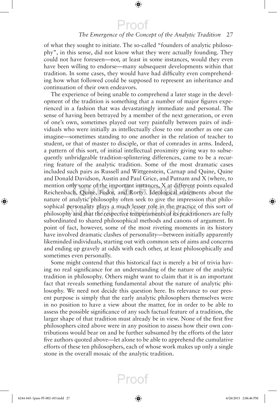⊕

### *The Emergence of the Concept of the Analytic Tradition* 27

of what they sought to initiate. The so-called "founders of analytic philosophy", in this sense, did not know what they were actually founding. They could not have foreseen—nor, at least in some instances, would they even have been willing to endorse—many subsequent developments within that tradition. In some cases, they would have had difficulty even comprehending how what followed could be supposed to represent an inheritance and continuation of their own endeavors.

The experience of being unable to comprehend a later stage in the development of the tradition is something that a number of major figures experienced in a fashion that was devastatingly immediate and personal. The sense of having been betrayed by a member of the next generation, or even of one's own, sometimes played out very painfully between pairs of individuals who were initially as intellectually close to one another as one can imagine—sometimes standing to one another in the relation of teacher to student, or that of master to disciple, or that of comrades in arms. Indeed, a pattern of this sort, of initial intellectual proximity giving way to subsequently unbridgeable tradition-splintering differences, came to be a recurring feature of the analytic tradition. Some of the most dramatic cases included such pairs as Russell and Wittgenstein, Carnap and Quine, Quine and Donald Davidson, Austin and Paul Grice, and Putnam and X (where, to mention only some of the important instances, X at different points equaled Reichenbach, Quine, Fodor, and Rorty). Ideological statements about the nature of analytic philosophy often seek to give the impression that philosophical personality plays a much lesser role in the practice of this sort of philosophy and that the respective temperaments of its practitioners are fully subordinated to shared philosophical methods and canons of argument. In point of fact, however, some of the most riveting moments in its history have involved dramatic clashes of personality—between initially apparently likeminded individuals, starting out with common sets of aims and concerns and ending up gravely at odds with each other, at least philosophically and sometimes even personally.

Some might contend that this historical fact is merely a bit of trivia having no real significance for an understanding of the nature of the analytic tradition in philosophy. Others might want to claim that it is an important fact that reveals something fundamental about the nature of analytic philosophy. We need not decide this question here. Its relevance to our present purpose is simply that the early analytic philosophers themselves were in no position to have a view about the matter, for in order to be able to assess the possible significance of any such factual feature of a tradition, the larger shape of that tradition must already be in view. None of the first five philosophers cited above were in any position to assess how their own contributions would bear on and be further subsumed by the efforts of the later five authors quoted above—let alone to be able to apprehend the cumulative efforts of these ten philosophers, each of whose work makes up only a single stone in the overall mosaic of the analytic tradition.

⊕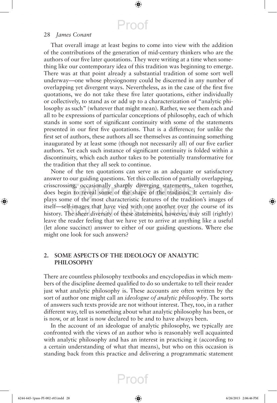⊕

#### 28 *James Conant*

That overall image at least begins to come into view with the addition of the contributions of the generation of mid-century thinkers who are the authors of our five later quotations. They were writing at a time when something like our contemporary idea of this tradition was beginning to emerge. There was at that point already a substantial tradition of some sort well underway—one whose physiognomy could be discerned in any number of overlapping yet divergent ways. Nevertheless, as in the case of the first five quotations, we do not take these five later quotations, either individually or collectively, to stand as or add up to a characterization of "analytic philosophy as such" (whatever that might mean). Rather, we see them each and all to be expressions of particular conceptions of philosophy, each of which stands in some sort of significant continuity with some of the statements presented in our first five quotations. That is a difference; for unlike the first set of authors, these authors all see themselves as continuing something inaugurated by at least some (though not necessarily all) of our five earlier authors. Yet each such instance of significant continuity is folded within a discontinuity, which each author takes to be potentially transformative for the tradition that they all seek to continue.

None of the ten quotations can serve as an adequate or satisfactory answer to our guiding questions. Yet this collection of partially overlapping, crisscrossing, occasionally sharply diverging statements, taken together, does begin to reveal some of the shape of the tradition. It certainly displays some of the most characteristic features of the tradition's images of itself—self-images that have vied with one another over the course of its history. The sheer diversity of these statements, however, may still (rightly) leave the reader feeling that we have yet to arrive at anything like a useful (let alone succinct) answer to either of our guiding questions. Where else might one look for such answers?

#### **2. SOME ASPECTS OF THE IDEOLOGY OF ANALYTIC PHILOSOPHY**

There are countless philosophy textbooks and encyclopedias in which members of the discipline deemed qualified to do so undertake to tell their reader just what analytic philosophy is. These accounts are often written by the sort of author one might call an *ideologue of analytic philosophy*. The sorts of answers such texts provide are not without interest. They, too, in a rather different way, tell us something about what analytic philosophy has been, or is now, or at least is now declared to be and to have always been.

In the account of an ideologue of analytic philosophy, we typically are confronted with the views of an author who is reasonably well acquainted with analytic philosophy and has an interest in practicing it (according to a certain understanding of what that means), but who on this occasion is standing back from this practice and delivering a programmatic statement

⊕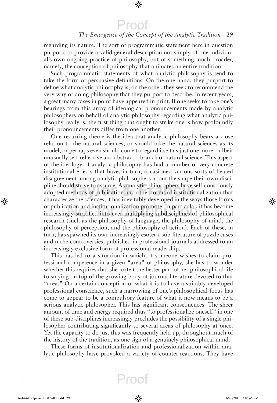⊕

#### *The Emergence of the Concept of the Analytic Tradition* 29

regarding its nature. The sort of programmatic statement here in question purports to provide a valid general description not simply of one individual's own ongoing practice of philosophy, but of something much broader, namely, the conception of philosophy that animates an entire tradition.

Such programmatic statements of what analytic philosophy is tend to take the form of persuasive definitions. On the one hand, they purport to define what analytic philosophy is; on the other, they seek to recommend the very way of doing philosophy that they purport to describe. In recent years, a great many cases in point have appeared in print. If one seeks to take one's bearings from this array of ideological pronouncements made by analytic philosophers on behalf of analytic philosophy regarding what analytic philosophy really is, the first thing that ought to strike one is how profoundly their pronouncements differ from one another.

One recurring theme is the idea that analytic philosophy bears a close relation to the natural sciences, or should take the natural sciences as its model, or perhaps even should come to regard itself as just one more—albeit unusually self-reflective and abstract—branch of natural science. This aspect of the ideology of analytic philosophy has had a number of very concrete institutional effects that have, in turn, occasioned various sorts of heated disagreement among analytic philosophers about the shape their own discipline should strive to assume. As analytic philosophers have self-consciously adopted methods of publication and other forms of institutionalization that characterize the sciences, it has inevitably developed in the ways those forms of publication and institutionalization promote. In particular, it has become increasingly stratified into ever multiplying subdisciplines of philosophical research (such as the philosophy of language, the philosophy of mind, the philosophy of perception, and the philosophy of action). Each of these, in turn, has spawned its own increasingly esoteric sub-literature of puzzle cases and niche controversies, published in professional journals addressed to an increasingly exclusive form of professional readership.

This has led to a situation in which, if someone wishes to claim professional competence in a given "area" of philosophy, she has to wonder whether this requires that she forfeit the better part of her philosophical life to staying on top of the growing body of journal literature devoted to that "area." On a certain conception of what it is to have a suitably developed professional conscience, such a narrowing of one's philosophical focus has come to appear to be a compulsory feature of what it now means to be a serious analytic philosopher. This has significant consequences. The sheer amount of time and energy required thus "to professionalize oneself" in one of these sub-disciplines increasingly precludes the possibility of a single philosopher contributing significantly to several areas of philosophy at once. Yet the capacity to do just this was frequently held up, throughout much of the history of the tradition, as one sign of a genuinely philosophical mind.

These forms of institutionalization and professionalization within analytic philosophy have provoked a variety of counter-reactions. They have

⊕

⊕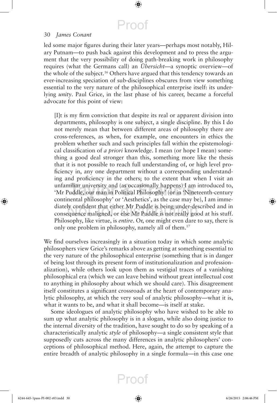⊕

#### 30 *James Conant*

led some major figures during their later years—perhaps most notably, Hilary Putnam—to push back against this development and to press the argument that the very possibility of doing path-breaking work in philosophy requires (what the Germans call) an *Übersicht*—a synoptic overview—of the whole of the subject.<sup>16</sup> Others have argued that this tendency towards an ever-increasing speciation of sub-disciplines obscures from view something essential to the very nature of the philosophical enterprise itself: its underlying *unity*. Paul Grice, in the last phase of his career, became a forceful advocate for this point of view:

[I]t is my firm conviction that despite its real or apparent division into departments, philosophy is one subject, a single discipline. By this I do not merely mean that between different areas of philosophy there are cross-references, as when, for example, one encounters in ethics the problem whether such and such principles fall within the epistemological classification of *a priori* knowledge. I mean (or hope I mean) something a good deal stronger than this, something more like the thesis that it is not possible to reach full understanding of, or high level proficiency in, any one department without a corresponding understanding and proficiency in the others; to the extent that when I visit an unfamiliar university and (as occasionally happens) I am introduced to, 'Mr Puddle, our man in Political Philosophy' (or in 'Nineteenth-century continental philosophy' or 'Aesthetics', as the case may be), I am immediately confident that either Mr Puddle is being under-described and in consequence maligned, or else Mr Puddle is not really good at his stuff. Philosophy, like virtue, is *entire*. Or, one might even dare to say, there is only one problem in philosophy, namely all of them.17

We find ourselves increasingly in a situation today in which some analytic philosophers view Grice's remarks above as getting at something essential to the very nature of the philosophical enterprise (something that is in danger of being lost through its present form of institutionalization and professionalization), while others look upon them as vestigial traces of a vanishing philosophical era (which we can leave behind without great intellectual cost to anything in philosophy about which we should care). This disagreement itself constitutes a significant crossroads at the heart of contemporary analytic philosophy, at which the very soul of analytic philosophy—what it is, what it wants to be, and what it shall become—is itself at stake.

Some ideologues of analytic philosophy who have wished to be able to sum up what analytic philosophy is in a slogan, while also doing justice to the internal diversity of the tradition, have sought to do so by speaking of a characteristically analytic *style* of philosophy—a single consistent style that supposedly cuts across the many differences in analytic philosophers' conceptions of philosophical method. Here, again, the attempt to capture the entire breadth of analytic philosophy in a single formula—in this case one

⊕

⊕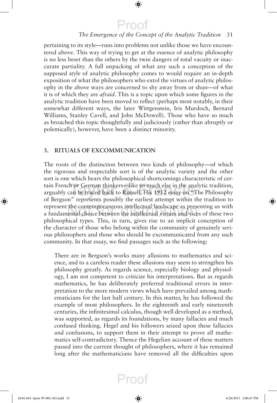⊕

#### *The Emergence of the Concept of the Analytic Tradition* 31

pertaining to its style—runs into problems not unlike those we have encountered above. This way of trying to get at the essence of analytic philosophy is no less beset than the others by the twin dangers of total vacuity or inaccurate partiality. A full unpacking of what any such a conception of the supposed style of analytic philosophy comes to would require an in-depth exposition of what the philosophers who extol the virtues of analytic philosophy in the above ways are concerned to shy away from or shun—of what it is of which they are *afraid*. This is a topic upon which some figures in the analytic tradition have been moved to reflect (perhaps most notably, in their somewhat different ways, the later Wittgenstein, Iris Murdoch, Bernard Williams, Stanley Cavell, and John McDowell). Those who have so much as broached this topic thoughtfully and judiciously (rather than abruptly or polemically), however, have been a distinct minority.

#### **3. RITUALS OF EXCOMMUNICATION**

The roots of the distinction between two kinds of philosophy—of which the rigorous and respectable sort is of the analytic variety and the other sort is one which bears the philosophical shortcomings characteristic of certain French or German thinkers—like so much else in the analytic tradition, arguably can be traced back to Russell. His 1912 essay on "The Philosophy of Bergson" represents possibly the earliest attempt within the tradition to represent the contemporaneous intellectual landscape as presenting us with a fundamental choice between the intellectual virtues and vices of these two philosophical types. This, in turn, gives rise to an implicit conception of the character of those who belong within the community of genuinely serious philosophers and those who should be excommunicated from any such community. In that essay, we find passages such as the following:

There are in Bergson's works many allusions to mathematics and science, and to a careless reader these allusions may seem to strengthen his philosophy greatly. As regards science, especially biology and physiology, I am not competent to criticize his interpretations. But as regards mathematics, he has deliberately preferred traditional errors in interpretation to the more modern views which have prevailed among mathematicians for the last half century. In this matter, he has followed the example of most philosophers. In the eighteenth and early nineteenth centuries, the infinitesimal calculus, though well developed as a method, was supported, as regards its foundations, by many fallacies and much confused thinking. Hegel and his followers seized upon these fallacies and confusions, to support them in their attempt to prove all mathematics self-contradictory. Thence the Hegelian account of these matters passed into the current thought of philosophers, where it has remained long after the mathematicians have removed all the difficulties upon

⊕

↔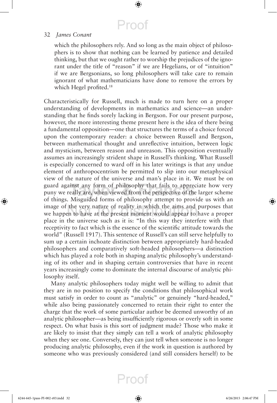⊕

#### 32 *James Conant*

which the philosophers rely. And so long as the main object of philosophers is to show that nothing can be learned by patience and detailed thinking, but that we ought rather to worship the prejudices of the ignorant under the title of "reason" if we are Hegelians, or of "intuition" if we are Bergsonians, so long philosophers will take care to remain ignorant of what mathematicians have done to remove the errors by which Hegel profited.<sup>18</sup>

Characteristically for Russell, much is made to turn here on a proper understanding of developments in mathematics and science—an understanding that he finds sorely lacking in Bergson. For our present purpose, however, the more interesting theme present here is the idea of there being a fundamental opposition—one that structures the terms of a choice forced upon the contemporary reader: a choice between Russell and Bergson, between mathematical thought and unreflective intuition, between logic and mysticism, between reason and unreason. This opposition eventually assumes an increasingly strident shape in Russell's thinking. What Russell is especially concerned to ward off in his later writings is that any undue element of anthropocentrism be permitted to slip into our metaphysical view of the nature of the universe and man's place in it. We must be on guard against any form of philosophy that fails to appreciate how very puny we really are, when viewed from the perspective of the larger scheme of things. Misguided forms of philosophy attempt to provide us with an image of the very nature of reality in which the aims and purposes that we happen to have at the present moment would appear to have a proper place in the universe such as it is: "In this way they interfere with that receptivity to fact which is the essence of the scientific attitude towards the world" (Russell 1917). This sentence of Russell's can still serve helpfully to sum up a certain inchoate distinction between appropriately hard-headed philosophers and comparatively soft-headed philosophers—a distinction which has played a role both in shaping analytic philosophy's understanding of its other and in shaping certain controversies that have in recent years increasingly come to dominate the internal discourse of analytic philosophy itself.

Many analytic philosophers today might well be willing to admit that they are in no position to specify the conditions that philosophical work must satisfy in order to count as "analytic" or genuinely "hard-headed," while also being passionately concerned to retain their right to enter the charge that the work of some particular author be deemed unworthy of an analytic philosopher—as being insufficiently rigorous or overly soft in some respect. On what basis is this sort of judgment made? Those who make it are likely to insist that they simply can tell a work of analytic philosophy when they see one. Conversely, they can just tell when someone is no longer producing analytic philosophy, even if the work in question is authored by someone who was previously considered (and still considers herself) to be

⊕

⊕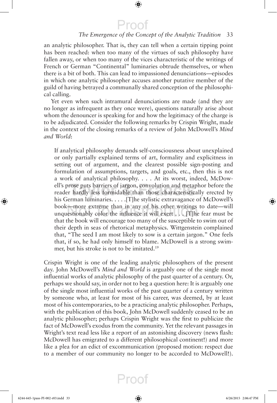⊕

### *The Emergence of the Concept of the Analytic Tradition* 33

an analytic philosopher. That is, they can tell when a certain tipping point has been reached: when too many of the virtues of such philosophy have fallen away, or when too many of the vices characteristic of the writings of French or German "Continental" luminaries obtrude themselves, or when there is a bit of both. This can lead to impassioned denunciations—episodes in which one analytic philosopher accuses another putative member of the guild of having betrayed a communally shared conception of the philosophical calling.

Yet even when such intramural denunciations are made (and they are no longer as infrequent as they once were), questions naturally arise about whom the denouncer is speaking for and how the legitimacy of the charge is to be adjudicated. Consider the following remarks by Crispin Wright, made in the context of the closing remarks of a review of John McDowell's *Mind and World*:

If analytical philosophy demands self-consciousness about unexplained or only partially explained terms of art, formality and explicitness in setting out of argument, and the clearest possible sign-posting and formulation of assumptions, targets, and goals, etc., then this is not a work of analytical philosophy. . . . At its worst, indeed, McDowell's prose puts barriers of jargon, convolution and metaphor before the reader hardly less formidable than those characteristically erected by his German luminaries. . . . . . . . . The stylistic extravagance of McDowell's book—more extreme than in any of his other writings to date—will unquestionably color the influence it will exert . . . [T]he fear must be that the book will encourage too many of the susceptible to swim out of their depth in seas of rhetorical metaphysics. Wittgenstein complained that, "The seed I am most likely to sow is a certain jargon." One feels that, if so, he had only himself to blame. McDowell is a strong swimmer, but his stroke is not to be imitated.19

Crispin Wright is one of the leading analytic philosophers of the present day. John McDowell's *Mind and World* is arguably one of the single most influential works of analytic philosophy of the past quarter of a century. Or, perhaps we should say, in order not to beg a question here: It is arguably one of the single most influential works of the past quarter of a century written by someone who, at least for most of his career, was deemed, by at least most of his contemporaries, to be a practicing analytic philosopher. Perhaps, with the publication of this book, John McDowell suddenly ceased to be an analytic philosopher; perhaps Crispin Wright was the first to publicize the fact of McDowell's exodus from the community. Yet the relevant passages in Wright's text read less like a report of an astonishing discovery (news flash: McDowell has emigrated to a different philosophical continent!) and more like a plea for an edict of excommunication (proposed motion: respect due to a member of our community no longer to be accorded to McDowell!).

⊕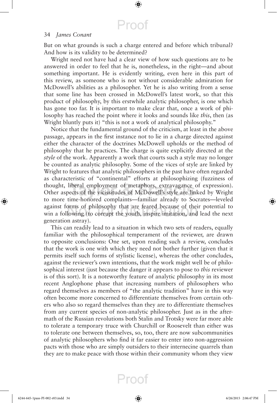⊕

#### 34 *James Conant*

But on what grounds is such a charge entered and before which tribunal? And how is its validity to be determined?

Wright need not have had a clear view of how such questions are to be answered in order to feel that he is, nonetheless, in the right—and about something important. He is evidently writing, even here in this part of this review, as someone who is not without considerable admiration for McDowell's abilities as a philosopher. Yet he is also writing from a sense that some line has been crossed in McDowell's latest work, so that this product of philosophy, by this erstwhile analytic philosopher, is one which has gone too far. It is important to make clear that, once a work of philosophy has reached the point where it looks and sounds like *this*, then (as Wright bluntly puts it) "this is not a work of analytical philosophy."

Notice that the fundamental ground of the criticism, at least in the above passage, appears in the first instance not to lie in a charge directed against either the character of the doctrines McDowell upholds or the method of philosophy that he practices. The charge is quite explicitly directed at the *style* of the work. Apparently a work that courts such a style may no longer be counted as analytic philosophy. Some of the vices of style are linked by Wright to features that analytic philosophers in the past have often regarded as characteristic of "continental" efforts at philosophizing (fuzziness of thought, liberal employment of metaphors, extravagance of expression). Other aspects of the vicissitudes of McDowell's style are linked by Wright to more time-honored complaints—familiar already to Socrates—leveled against forms of philosophy that are feared because of their potential to win a following (to corrupt the youth, inspire imitation, and lead the next generation astray).

This can readily lead to a situation in which two sets of readers, equally familiar with the philosophical temperament of the reviewer, are drawn to opposite conclusions: One set, upon reading such a review, concludes that the work is one with which they need not bother further (given that it permits itself such forms of stylistic license), whereas the other concludes, against the reviewer's own intentions, that the work might well be of philosophical interest (just because the danger it appears to pose to *this* reviewer is of this sort). It is a noteworthy feature of analytic philosophy in its most recent Anglophone phase that increasing numbers of philosophers who regard themselves as members of "the analytic tradition" have in this way often become more concerned to differentiate themselves from certain others who also so regard themselves than they are to differentiate themselves from any current species of non-analytic philosopher. Just as in the aftermath of the Russian revolutions both Stalin and Trotsky were far more able to tolerate a temporary truce with Churchill or Roosevelt than either was to tolerate one between themselves, so, too, there are now subcommunities of analytic philosophers who find it far easier to enter into non-aggression pacts with those who are simply outsiders to their internecine quarrels than they are to make peace with those within their community whom they view

⊕

⊕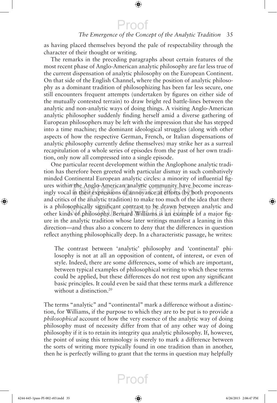⊕

### *The Emergence of the Concept of the Analytic Tradition* 35

as having placed themselves beyond the pale of respectability through the character of their thought or writing.

The remarks in the preceding paragraphs about certain features of the most recent phase of Anglo-American analytic philosophy are far less true of the current dispensation of analytic philosophy on the European Continent. On that side of the English Channel, where the position of analytic philosophy as a dominant tradition of philosophizing has been far less secure, one still encounters frequent attempts (undertaken by figures on either side of the mutually contested terrain) to draw bright red battle-lines between the analytic and non-analytic ways of doing things. A visiting Anglo-American analytic philosopher suddenly finding herself amid a diverse gathering of European philosophers may be left with the impression that she has stepped into a time machine; the dominant ideological struggles (along with other aspects of how the respective German, French, or Italian dispensations of analytic philosophy currently define themselves) may strike her as a surreal recapitulation of a whole series of episodes from the past of her own tradition, only now all compressed into a single episode.

One particular recent development within the Anglophone analytic tradition has therefore been greeted with particular dismay in such combatively minded Continental European analytic circles: a minority of influential figures within the Anglo-American analytic community have become increasingly vocal in their expressions of annoyance at efforts (by both proponents and critics of the analytic tradition) to make too much of the idea that there is a philosophically significant contrast to be drawn between analytic and other kinds of philosophy. Bernard Williams is an example of a major figure in the analytic tradition whose later writings manifest a leaning in this direction—and thus also a concern to deny that the differences in question reflect anything philosophically deep. In a characteristic passage, he writes:

The contrast between 'analytic' philosophy and 'continental' philosophy is not at all an opposition of content, of interest, or even of style. Indeed, there are some differences, some of which are important, between typical examples of philosophical writing to which these terms could be applied, but these differences do not rest upon any significant basic principles. It could even be said that these terms mark a difference without a distinction.<sup>20</sup>

The terms "analytic" and "continental" mark a difference without a distinction, for Williams, if the purpose to which they are to be put is to provide a *philosophical* account of how the very essence of the analytic way of doing philosophy must of necessity differ from that of any other way of doing philosophy if it is to retain its integrity qua analytic philosophy. If, however, the point of using this terminology is merely to mark a difference between the sorts of writing more typically found in one tradition than in another, then he is perfectly willing to grant that the terms in question may helpfully

⊕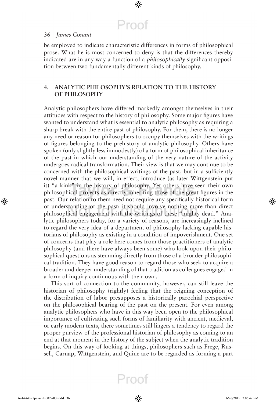⊕

#### 36 *James Conant*

be employed to indicate characteristic differences in forms of philosophical prose. What he is most concerned to deny is that the differences thereby indicated are in any way a function of a *philosophically* significant opposition between two fundamentally different kinds of philosophy.

### **4. ANALYTIC PHILOSOPHY'S RELATION TO THE HISTORY OF PHILOSOPHY**

Analytic philosophers have differed markedly amongst themselves in their attitudes with respect to the history of philosophy. Some major figures have wanted to understand what is essential to analytic philosophy as requiring a sharp break with the entire past of philosophy. For them, there is no longer any need or reason for philosophers to occupy themselves with the writings of figures belonging to the prehistory of analytic philosophy. Others have spoken (only slightly less immodestly) of a form of philosophical inheritance of the past in which our understanding of the very nature of the activity undergoes radical transformation. Their view is that we may continue to be concerned with the philosophical writings of the past, but in a sufficiently novel manner that we will, in effect, introduce (as later Wittgenstein put it) "a kink" in the history of philosophy. Yet others have seen their own philosophical projects as directly inheriting those of the great figures in the past. Our relation to them need not require any specifically historical form of understanding of the past; it should involve nothing more than direct philosophical engagement with the writings of these "mighty dead." Analytic philosophers today, for a variety of reasons, are increasingly inclined to regard the very idea of a department of philosophy lacking capable historians of philosophy as existing in a condition of impoverishment. One set of concerns that play a role here comes from those practitioners of analytic philosophy (and there have always been some) who look upon their philosophical questions as stemming directly from those of a broader philosophical tradition. They have good reason to regard those who seek to acquire a broader and deeper understanding of that tradition as colleagues engaged in a form of inquiry continuous with their own.

This sort of connection to the community, however, can still leave the historian of philosophy (rightly) feeling that the reigning conception of the distribution of labor presupposes a historically parochial perspective on the philosophical bearing of the past on the present. For even among analytic philosophers who have in this way been open to the philosophical importance of cultivating such forms of familiarity with ancient, medieval, or early modern texts, there sometimes still lingers a tendency to regard the proper purview of the professional historian of philosophy as coming to an end at that moment in the history of the subject when the analytic tradition begins. On this way of looking at things, philosophers such as Frege, Russell, Carnap, Wittgenstein, and Quine are to be regarded as forming a part

⊕

⊕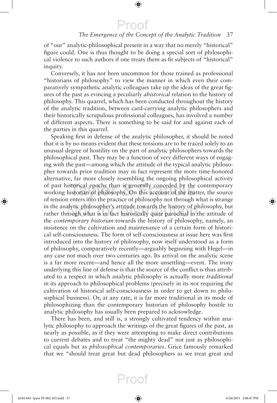⊕

### *The Emergence of the Concept of the Analytic Tradition* 37

of "our" analytic-philosophical present in a way that no merely "historical" figure could. One is thus thought to be doing a special sort of philosophical violence to such authors if one treats them as fit subjects of "historical" inquiry.

Conversely, it has not been uncommon for those trained as professional "historians of philosophy" to view the manner in which even their comparatively sympathetic analytic colleagues take up the ideas of the great figures of the past as evincing a peculiarly *ahistorical* relation to the history of philosophy. This quarrel, which has been conducted throughout the history of the analytic tradition, between card-carrying analytic philosophers and their historically scrupulous professional colleagues, has involved a number of different aspects. There is something to be said for and against each of the parties in this quarrel.

Speaking first in defense of the analytic philosopher, it should be noted that it is by no means evident that these tensions are to be traced solely to an unusual degree of hostility on the part of analytic philosophers towards the philosophical past. They may be a function of very different ways of engaging with the past—among which the attitude of the typical analytic philosopher towards prior tradition may in fact represent the more time-honored alternative, far more closely resembling the ongoing philosophical activity of past historical epochs than is generally conceded by the contemporary working historian of philosophy. On this account of the matter, the source of tension enters into the practice of philosophy not through what is strange in the analytic philosopher's attitude towards the history of philosophy, but rather through what is in fact historically quite parochial in the attitude of the *contemporary historian* towards the history of philosophy, namely, an insistence on the cultivation and maintenance of a certain form of historical self-consciousness. The form of self-consciousness at issue here was first introduced into the history of philosophy, now itself understood as a form of philosophy, comparatively recently—arguably beginning with Hegel—in any case not much over two centuries ago. Its arrival on the analytic scene is a far more recent—and hence all the more unsettling—event. The irony underlying this line of defense is that the source of the conflict is thus attributed to a respect in which analytic philosophy is actually more *traditional* in its approach to philosophical problems (precisely in its *not* requiring the cultivation of historical self-consciousness in order to get down to philosophical business). Or, at any rate, it is far more traditional in its mode of philosophizing than the contemporary historian of philosophy hostile to analytic philosophy has usually been prepared to acknowledge.

There has been, and still is, a strongly cultivated tendency within analytic philosophy to approach the writings of the great figures of the past, as nearly as possible, as if they were attempting to make direct contributions to current debates and to treat "the mighty dead" not just as philosophical equals but as *philosophical contemporaries*. Grice famously remarked that we "should treat great but dead philosophers as we treat great and

⊕

⊕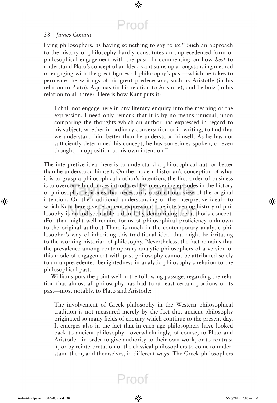⊕

#### 38 *James Conant*

living philosophers, as having something to say to *us*." Such an approach to the history of philosophy hardly constitutes an unprecedented form of philosophical engagement with the past. In commenting on how *best* to understand Plato's concept of an Idea, Kant sums up a longstanding method of engaging with the great figures of philosophy's past—which he takes to permeate the writings of his great predecessors, such as Aristotle (in his relation to Plato), Aquinas (in his relation to Aristotle), and Leibniz (in his relation to all three). Here is how Kant puts it:

I shall not engage here in any literary enquiry into the meaning of the expression. I need only remark that it is by no means unusual, upon comparing the thoughts which an author has expressed in regard to his subject, whether in ordinary conversation or in writing, to find that we understand him better than he understood himself. As he has not sufficiently determined his concept, he has sometimes spoken, or even thought, in opposition to his own intention. $21$ 

The interpretive ideal here is to understand a philosophical author better than he understood himself. On the modern historian's conception of what it is to grasp a philosophical author's intention, the first order of business is to overcome hindrances introduced by intervening episodes in the history of philosophy—episodes that necessarily obstruct our view of the original intention. On the traditional understanding of the interpretive ideal—to which Kant here gives eloquent expression—the intervening history of philosophy is an indispensable aid in fully determining the author's concept. (For that might well require forms of philosophical proficiency unknown to the original author.) There is much in the contemporary analytic philosopher's way of inheriting this traditional ideal that might be irritating to the working historian of philosophy. Nevertheless, the fact remains that the prevalence among contemporary analytic philosophers of a version of this mode of engagement with past philosophy cannot be attributed solely to an unprecedented benightedness in analytic philosophy's relation to the philosophical past.

Williams puts the point well in the following passage, regarding the relation that almost all philosophy has had to at least certain portions of its past—most notably, to Plato and Aristotle:

The involvement of Greek philosophy in the Western philosophical tradition is not measured merely by the fact that ancient philosophy originated so many fields of enquiry which continue to the present day. It emerges also in the fact that in each age philosophers have looked back to ancient philosophy—overwhelmingly, of course, to Plato and Aristotle—in order to give authority to their own work, or to contrast it, or by reinterpretation of the classical philosophers to come to understand them, and themselves, in different ways. The Greek philosophers

⊕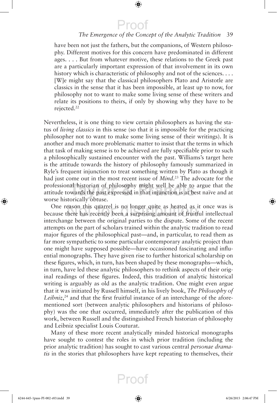⊕

### *The Emergence of the Concept of the Analytic Tradition* 39

have been not just the fathers, but the companions, of Western philosophy. Different motives for this concern have predominated in different ages. . . . But from whatever motive, these relations to the Greek past are a particularly important expression of that involvement in its own history which is characteristic of philosophy and not of the sciences. . . . [W]e might say that the classical philosophers Plato and Aristotle are classics in the sense that it has been impossible, at least up to now, for philosophy not to want to make some living sense of these writers and relate its positions to theirs, if only by showing why they have to be rejected.22

Nevertheless, it is one thing to view certain philosophers as having the status of *living classics* in this sense (so that it is impossible for the practicing philosopher not to want to make some living sense of their writings). It is another and much more problematic matter to insist that the terms in which that task of making sense is to be achieved are fully specifiable prior to such a philosophically sustained encounter with the past. Williams's target here is the attitude towards the history of philosophy famously summarized in Ryle's frequent injunction to treat something written by Plato as though it had just come out in the most recent issue of *Mind*. 23 The advocate for the professional historian of philosophy might well be able to argue that the attitude towards the past expressed in that injunction is at best naïve and at worse historically obtuse.

One reason this quarrel is no longer quite as heated as it once was is because there has recently been a surprising amount of fruitful intellectual interchange between the original parties to the dispute. Some of the recent attempts on the part of scholars trained within the analytic tradition to read major figures of the philosophical past—and, in particular, to read them as far more sympathetic to some particular contemporary analytic project than one might have supposed possible—have occasioned fascinating and influential monographs. They have given rise to further historical scholarship on these figures, which, in turn, has been shaped by these monographs—which, in turn, have led these analytic philosophers to rethink aspects of their original readings of these figures. Indeed, this tradition of analytic historical writing is arguably as old as the analytic tradition. One might even argue that it was initiated by Russell himself, in his lively book, *The Philosophy of*  Leibniz,<sup>24</sup> and that the first fruitful instance of an interchange of the aforementioned sort (between analytic philosophers and historians of philosophy) was the one that occurred, immediately after the publication of this work, between Russell and the distinguished French historian of philosophy and Leibniz specialist Louis Couturat.

Many of these more recent analytically minded historical monographs have sought to contest the roles in which prior tradition (including the prior analytic tradition) has sought to cast various central *personae dramatis* in the stories that philosophers have kept repeating to themselves, their

⊕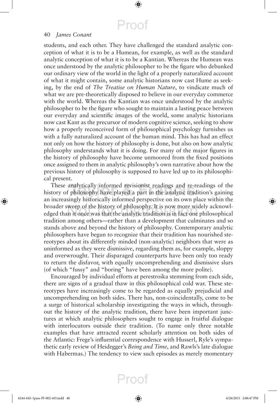⊕

#### 40 *James Conant*

students, and each other. They have challenged the standard analytic conception of what it is to be a Humean, for example, as well as the standard analytic conception of what it is to be a Kantian. Whereas the Humean was once understood by the analytic philosopher to be the figure who debunked our ordinary view of the world in the light of a properly naturalized account of what it might contain, some analytic historians now cast Hume as seeking, by the end of *The Treatise on Human Nature*, to vindicate much of what we are pre-theoretically disposed to believe in our everyday commerce with the world. Whereas the Kantian was once understood by the analytic philosopher to be the figure who sought to maintain a lasting peace between our everyday and scientific images of the world, some analytic historians now cast Kant as the precursor of modern cognitive science, seeking to show how a properly reconceived form of philosophical psychology furnishes us with a fully naturalized account of the human mind. This has had an effect not only on how the history of philosophy is done, but also on how analytic philosophy understands what it is doing. For many of the major figures in the history of philosophy have become unmoored from the fixed positions once assigned to them in analytic philosophy's own narrative about how the previous history of philosophy is supposed to have led up to its philosophical present.

These analytically informed revisionist readings and re-readings of the history of philosophy have played a part in the analytic tradition's gaining an increasingly historically informed perspective on its own place within the broader sweep of the history of philosophy. It is now more widely acknowledged than it once was that the analytic tradition is in fact one philosophical tradition among others—rather than a development that culminates and so stands above and beyond the history of philosophy. Contemporary analytic philosophers have begun to recognize that their tradition has nourished stereotypes about its differently minded (non-analytic) neighbors that were as uninformed as they were dismissive, regarding them as, for example, sloppy and overwrought. Their disparaged counterparts have been only too ready to return the disfavor, with equally uncomprehending and dismissive slurs (of which "fussy" and "boring" have been among the more polite).

Encouraged by individual efforts at perestroika stemming from each side, there are signs of a gradual thaw in this philosophical cold war. These stereotypes have increasingly come to be regarded as equally prejudicial and uncomprehending on both sides. There has, non-coincidentally, come to be a surge of historical scholarship investigating the ways in which, throughout the history of the analytic tradition, there have been important junctures at which analytic philosophers sought to engage in fruitful dialogue with interlocutors outside their tradition. (To name only three notable examples that have attracted recent scholarly attention on both sides of the Atlantic: Frege's influential correspondence with Husserl, Ryle's sympathetic early review of Heidegger's *Being and Time*, and Rawls's late dialogue with Habermas.) The tendency to view such episodes as merely momentary

⊕

⊕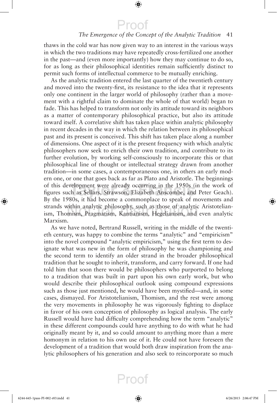⊕

### *The Emergence of the Concept of the Analytic Tradition* 41

thaws in the cold war has now given way to an interest in the various ways in which the two traditions may have repeatedly cross-fertilized one another in the past—and (even more importantly) how they may continue to do so, for as long as their philosophical identities remain sufficiently distinct to permit such forms of intellectual commerce to be mutually enriching.

As the analytic tradition entered the last quarter of the twentieth century and moved into the twenty-first, its resistance to the idea that it represents only one continent in the larger world of philosophy (rather than a movement with a rightful claim to dominate the whole of that world) began to fade. This has helped to transform not only its attitude toward its neighbors as a matter of contemporary philosophical practice, but also its attitude toward itself. A correlative shift has taken place within analytic philosophy in recent decades in the way in which the relation between its philosophical past and its present is conceived. This shift has taken place along a number of dimensions. One aspect of it is the present frequency with which analytic philosophers now seek to enrich their own tradition, and contribute to its further evolution, by working self-consciously to incorporate this or that philosophical line of thought or intellectual strategy drawn from another tradition—in some cases, a contemporaneous one, in others an early modern one, or one that goes back as far as Plato and Aristotle. The beginnings of this development were already occurring in the 1950s (in the work of figures such as Sellars, Strawson, Elizabeth Anscombe, and Peter Geach). By the 1980s, it had become a commonplace to speak of movements and strands within analytic philosophy, such as those of analytic Aristotelianism, Thomism, Pragmatism, Kantianism, Hegelianism, and even analytic Marxism.

As we have noted, Bertrand Russell, writing in the middle of the twentieth century, was happy to combine the terms "analytic" and "empiricism" into the novel compound "analytic empiricism," using the first term to designate what was new in the form of philosophy he was championing and the second term to identify an older strand in the broader philosophical tradition that he sought to inherit, transform, and carry forward. If one had told him that soon there would be philosophers who purported to belong to a tradition that was built in part upon his own early work, but who would describe their philosophical outlook using compound expressions such as those just mentioned, he would have been mystified—and, in some cases, dismayed. For Aristotelianism, Thomism, and the rest were among the very movements in philosophy he was vigorously fighting to displace in favor of his own conception of philosophy as logical analysis. The early Russell would have had difficulty comprehending how the term "analytic" in these different compounds could have anything to do with what he had originally meant by it, and so could amount to anything more than a mere homonym in relation to his own use of it. He could not have foreseen the development of a tradition that would both draw inspiration from the analytic philosophers of his generation and also seek to reincorporate so much

⊕

⊕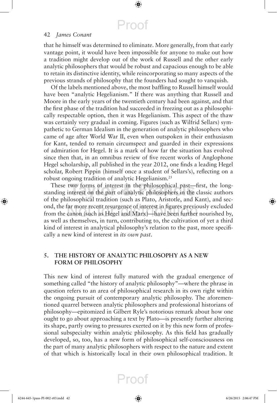⊕

#### 42 *James Conant*

that he himself was determined to eliminate. More generally, from that early vantage point, it would have been impossible for anyone to make out how a tradition might develop out of the work of Russell and the other early analytic philosophers that would be robust and capacious enough to be able to retain its distinctive identity, while reincorporating so many aspects of the previous strands of philosophy that the founders had sought to vanquish.

Of the labels mentioned above, the most baffling to Russell himself would have been "analytic Hegelianism." If there was anything that Russell and Moore in the early years of the twentieth century had been against, and that the first phase of the tradition had succeeded in freezing out as a philosophically respectable option, then it was Hegelianism. This aspect of the thaw was certainly very gradual in coming. Figures (such as Wilfrid Sellars) sympathetic to German Idealism in the generation of analytic philosophers who came of age after World War II, even when outspoken in their enthusiasm for Kant, tended to remain circumspect and guarded in their expressions of admiration for Hegel. It is a mark of how far the situation has evolved since then that, in an omnibus review of five recent works of Anglophone Hegel scholarship, all published in the year 2012, one finds a leading Hegel scholar, Robert Pippin (himself once a student of Sellars's), reflecting on a robust ongoing tradition of analytic Hegelianism.25

These two forms of interest in the philosophical past—first, the longstanding interest on the part of analytic philosophers in the classic authors of the philosophical tradition (such as Plato, Aristotle, and Kant), and second, the far more recent resurgence of interest in figures previously excluded from the canon (such as Hegel and Marx)—have been further nourished by, as well as themselves, in turn, contributing to, the cultivation of yet a third kind of interest in analytical philosophy's relation to the past, more specifically a new kind of interest in *its own past*.

#### **5. THE HISTORY OF ANALYTIC PHILOSOPHY AS A NEW FORM OF PHILOSOPHY**

This new kind of interest fully matured with the gradual emergence of something called "the history of analytic philosophy"—where the phrase in question refers to an area of philosophical research in its own right within the ongoing pursuit of contemporary analytic philosophy. The aforementioned quarrel between analytic philosophers and professional historians of philosophy—epitomized in Gilbert Ryle's notorious remark about how one ought to go about approaching a text by Plato—is presently further altering its shape, partly owing to pressures exerted on it by this new form of professional subspecialty within analytic philosophy. As this field has gradually developed, so, too, has a new form of philosophical self-consciousness on the part of many analytic philosophers with respect to the nature and extent of that which is historically local in their own philosophical tradition. It

⊕

⊕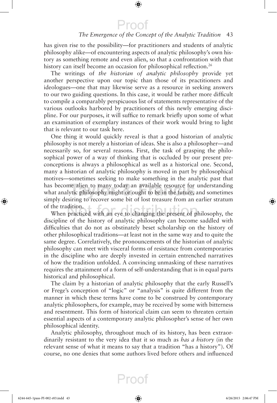⊕

### *The Emergence of the Concept of the Analytic Tradition* 43

has given rise to the possibility—for practitioners and students of analytic philosophy alike—of encountering aspects of analytic philosophy's own history as something remote and even alien, so that a confrontation with that history can itself become an occasion for philosophical reflection.<sup>26</sup>

The writings of *the historian of analytic philosophy* provide yet another perspective upon our topic than those of its practitioners and ideologues—one that may likewise serve as a resource in seeking answers to our two guiding questions. In this case, it would be rather more difficult to compile a comparably perspicuous list of statements representative of the various outlooks harbored by practitioners of this newly emerging discipline. For our purposes, it will suffice to remark briefly upon some of what an examination of exemplary instances of their work would bring to light that is relevant to our task here.

One thing it would quickly reveal is that a good historian of analytic philosophy is not merely a historian of ideas. She is also a philosopher—and necessarily so, for several reasons. First, the task of grasping the philosophical power of a way of thinking that is occluded by our present preconceptions is always a philosophical as well as a historical one. Second, many a historian of analytic philosophy is moved in part by philosophical motives—sometimes seeking to make something in the analytic past that has become alien to many today an available resource for understanding what analytic philosophy might or ought to be in the future, and sometimes simply desiring to recover some bit of lost treasure from an earlier stratum of the tradition.

When practiced with an eye to changing the present of philosophy, the discipline of the history of analytic philosophy can become saddled with difficulties that do not as obstinately beset scholarship on the history of other philosophical traditions—at least not in the same way and to quite the same degree. Correlatively, the pronouncements of the historian of analytic philosophy can meet with visceral forms of resistance from contemporaries in the discipline who are deeply invested in certain entrenched narratives of how the tradition unfolded. A convincing unmasking of these narratives requires the attainment of a form of self-understanding that is in equal parts historical and philosophical.

The claim by a historian of analytic philosophy that the early Russell's or Frege's conception of "logic" or "analysis" is quite different from the manner in which these terms have come to be construed by contemporary analytic philosophers, for example, may be received by some with bitterness and resentment. This form of historical claim can seem to threaten certain essential aspects of a contemporary analytic philosopher's sense of her own philosophical identity.

Analytic philosophy, throughout much of its history, has been extraordinarily resistant to the very idea that it so much as *has a history* (in the relevant sense of what it means to say that a tradition "has a history"). Of course, no one denies that some authors lived before others and influenced

⊕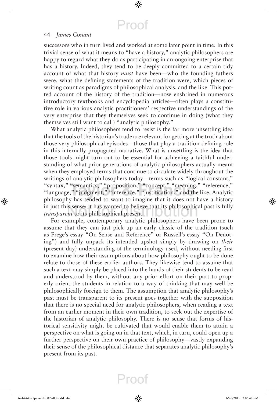⊕

#### 44 *James Conant*

successors who in turn lived and worked at some later point in time. In this trivial sense of what it means to "have a history," analytic philosophers are happy to regard what they do as participating in an ongoing enterprise that has a history. Indeed, they tend to be deeply committed to a certain tidy account of what that history *must* have been—who the founding fathers were, what the defining statements of the tradition were, which pieces of writing count as paradigms of philosophical analysis, and the like. This potted account of the history of the tradition—now enshrined in numerous introductory textbooks and encyclopedia articles—often plays a constitutive role in various analytic practitioners' respective understandings of the very enterprise that they themselves seek to continue in doing (what they themselves still want to call) "analytic philosophy."

What analytic philosophers tend to resist is the far more unsettling idea that the tools of the historian's trade are relevant for getting at the truth about those very philosophical episodes—those that play a tradition-defining role in this internally propagated narrative. What is unsettling is the idea that those tools might turn out to be essential for achieving a faithful understanding of what prior generations of analytic philosophers actually meant when they employed terms that continue to circulate widely throughout the writings of analytic philosophers today—terms such as "logical constant," "syntax," "semantics," "proposition," "concept," "meaning," "reference," "language," "judgment," "inference," "justification," and the like. Analytic philosophy has tended to want to imagine that it does not have a history in just this sense; it has wanted to believe that its philosophical past is fully *transparent* to its philosophical present.

For example, contemporary analytic philosophers have been prone to assume that they can just pick up an early classic of the tradition (such as Frege's essay "On Sense and Reference" or Russell's essay "On Denoting") and fully unpack its intended upshot simply by drawing on *their* (present-day) understanding of the terminology used, without needing first to examine how their assumptions about how philosophy ought to be done relate to those of these earlier authors. They likewise tend to assume that such a text may simply be placed into the hands of their students to be read and understood by them, without any prior effort on their part to properly orient the students in relation to a way of thinking that may well be philosophically foreign to them. The assumption that analytic philosophy's past must be transparent to its present goes together with the supposition that there is no special need for analytic philosophers, when reading a text from an earlier moment in their own tradition, to seek out the expertise of the historian of analytic philosophy. There is no sense that forms of historical sensitivity might be cultivated that would enable them to attain a perspective on what is going on in that text, which, in turn, could open up a further perspective on their own practice of philosophy—vastly expanding their sense of the philosophical distance that separates analytic philosophy's present from its past.

⊕

⊕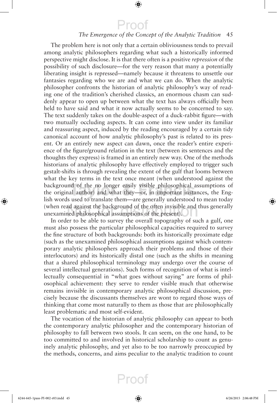⊕

#### *The Emergence of the Concept of the Analytic Tradition* 45

The problem here is not only that a certain obliviousness tends to prevail among analytic philosophers regarding what such a historically informed perspective might disclose. It is that there often is a positive *repression* of the possibility of such disclosure—for the very reason that many a potentially liberating insight is repressed—namely because it threatens to unsettle our fantasies regarding who we are and what we can do. When the analytic philosopher confronts the historian of analytic philosophy's way of reading one of the tradition's cherished classics, an enormous chasm can suddenly appear to open up between what the text has always officially been held to have said and what it now actually seems to be concerned to say. The text suddenly takes on the double-aspect of a duck-rabbit figure—with two mutually occluding aspects. It can come into view under its familiar and reassuring aspect, induced by the reading encouraged by a certain tidy canonical account of how analytic philosophy's past is related to its present. Or an entirely new aspect can dawn, once the reader's entire experience of the figure/ground relation in the text (between its sentences and the thoughts they express) is framed in an entirely new way. One of the methods historians of analytic philosophy have effectively employed to trigger such gestalt-shifts is through revealing the extent of the gulf that looms between what the key terms in the text once meant (when understood against the background of the no longer easily visible philosophical assumptions of the original author) and what they—or, in important instances, the English words used to translate them—are generally understood to mean today (when read against the background of the often invisible and thus generally unexamined philosophical assumptions of the present).

In order to be able to survey the overall topography of such a gulf, one must also possess the particular philosophical capacities required to survey the fine structure of both backgrounds: both its historically proximate edge (such as the unexamined philosophical assumptions against which contemporary analytic philosophers approach their problems and those of their interlocutors) and its historically distal one (such as the shifts in meaning that a shared philosophical terminology may undergo over the course of several intellectual generations). Such forms of recognition of what is intellectually consequential in "what goes without saying" are forms of philosophical achievement: they serve to render visible much that otherwise remains invisible in contemporary analytic philosophical discussion, precisely because the discussants themselves are wont to regard those ways of thinking that come most naturally to them as those that are philosophically least problematic and most self-evident.

The vocation of the historian of analytic philosophy can appear to both the contemporary analytic philosopher and the contemporary historian of philosophy to fall between two stools. It can seem, on the one hand, to be too committed to and involved in historical scholarship to count as genuinely analytic philosophy, and yet also to be too narrowly preoccupied by the methods, concerns, and aims peculiar to the analytic tradition to count

⊕

⊕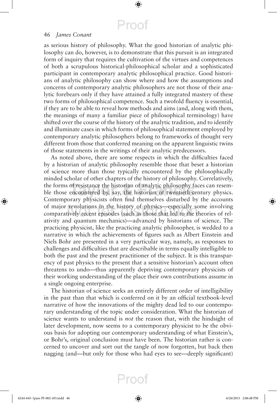⊕

#### 46 *James Conant*

as serious history of philosophy. What the good historian of analytic philosophy can do, however, is to demonstrate that this pursuit is an integrated form of inquiry that requires the cultivation of the virtues and competences of both a scrupulous historical-philosophical scholar and a sophisticated participant in contemporary analytic philosophical practice. Good historians of analytic philosophy can show where and how the assumptions and concerns of contemporary analytic philosophers are not those of their analytic forebears only if they have attained a fully integrated mastery of these two forms of philosophical competence. Such a twofold fluency is essential, if they are to be able to reveal how methods and aims (and, along with them, the meanings of many a familiar piece of philosophical terminology) have shifted over the course of the history of the analytic tradition, and to identify and illuminate cases in which forms of philosophical statement employed by contemporary analytic philosophers belong to frameworks of thought very different from those that conferred meaning on the apparent linguistic twins of those statements in the writings of their analytic predecessors.

As noted above, there are some respects in which the difficulties faced by a historian of analytic philosophy resemble those that beset a historian of science more than those typically encountered by the philosophically minded scholar of other chapters of the history of philosophy. Correlatively, the forms of resistance the historian of analytic philosophy faces can resemble those encountered by, say, the historian of twentieth-century physics. Contemporary physicists often find themselves disturbed by the accounts of major revolutions in the history of physics—especially some involving comparatively recent episodes (such as those that led to the theories of relativity and quantum mechanics)—advanced by historians of science. The practicing physicist, like the practicing analytic philosopher, is wedded to a narrative in which the achievements of figures such as Albert Einstein and Niels Bohr are presented in a very particular way, namely, as responses to challenges and difficulties that are describable in terms equally intelligible to both the past and the present practitioner of the subject. It is this transparency of past physics to the present that a sensitive historian's account often threatens to undo—thus apparently depriving contemporary physicists of their working understanding of the place their own contributions assume in a single ongoing enterprise.

The historian of science seeks an entirely different order of intelligibility in the past than that which is conferred on it by an official textbook-level narrative of how the innovations of the mighty dead led to our contemporary understanding of the topic under consideration. What the historian of science wants to understand is *not* the reason that, with the hindsight of later development, now seems to a contemporary physicist to be the obvious basis for adopting our contemporary understanding of what Einstein's, or Bohr's, original conclusion must have been. The historian rather is concerned to uncover and sort out the tangle of now forgotten, but back then nagging (and—but only for those who had eyes to see—deeply significant)

⊕

⊕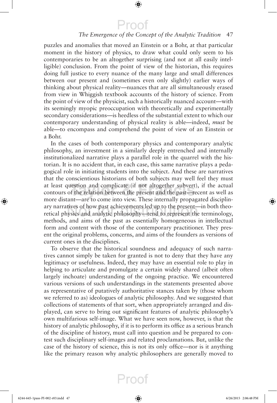⊕

#### *The Emergence of the Concept of the Analytic Tradition* 47

puzzles and anomalies that moved an Einstein or a Bohr, at that particular moment in the history of physics, to draw what could only seem to his contemporaries to be an altogether surprising (and not at all easily intelligible) conclusion. From the point of view of the historian, this requires doing full justice to every nuance of the many large and small differences between our present and (sometimes even only slightly) earlier ways of thinking about physical reality—nuances that are all simultaneously erased from view in Whiggish textbook accounts of the history of science. From the point of view of the physicist, such a historically nuanced account—with its seemingly myopic preoccupation with theoretically and experimentally secondary considerations—is heedless of the substantial extent to which our contemporary understanding of physical reality is able—indeed, *must* be able—to encompass and comprehend the point of view of an Einstein or a Bohr.

In the cases of both contemporary physics and contemporary analytic philosophy, an investment in a similarly deeply entrenched and internally institutionalized narrative plays a parallel role in the quarrel with the historian. It is no accident that, in each case, this same narrative plays a pedagogical role in initiating students into the subject. And these are narratives that the conscientious historians of both subjects may well feel they must at least question and complicate (if not altogether subvert), if the actual contours of the relation between the present and the past—recent as well as more distant—are to come into view. These internally propagated disciplinary narratives of how past achievements led up to the present—in both theoretical physics and analytic philosophy—tend to represent the terminology, methods, and aims of the past as essentially homogeneous in intellectual form and content with those of the contemporary practitioner. They present the original problems, concerns, and aims of the founders as versions of current ones in the disciplines.

To observe that the historical soundness and adequacy of such narratives cannot simply be taken for granted is not to deny that they have any legitimacy or usefulness. Indeed, they may have an essential role to play in helping to articulate and promulgate a certain widely shared (albeit often largely inchoate) understanding of the ongoing practice. We encountered various versions of such understandings in the statements presented above as representative of putatively authoritative stances taken by (those whom we referred to as) ideologues of analytic philosophy. And we suggested that collections of statements of that sort, when appropriately arranged and displayed, can serve to bring out significant features of analytic philosophy's own multifarious self-image. What we have seen now, however, is that the history of analytic philosophy, if it is to perform its office as a serious branch of the discipline of history, must call into question and be prepared to contest such disciplinary self-images and related proclamations. But, unlike the case of the history of science, this is not its only office—nor is it anything like the primary reason why analytic philosophers are generally moved to

⊕

⊕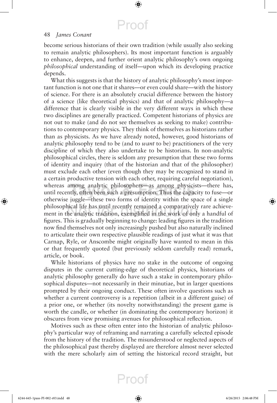⊕

#### 48 *James Conant*

become serious historians of their own tradition (while usually also seeking to remain analytic philosophers). Its most important function is arguably to enhance, deepen, and further orient analytic philosophy's own ongoing *philosophical* understanding of itself—upon which its developing practice depends.

What this suggests is that the history of analytic philosophy's most important function is not one that it shares—or even could share—with the history of science. For there is an absolutely crucial difference between the history of a science (like theoretical physics) and that of analytic philosophy—a difference that is clearly visible in the very different ways in which these two disciplines are generally practiced. Competent historians of physics are not out to make (and do not see themselves as seeking to make) contributions to contemporary physics. They think of themselves as historians rather than as physicists. As we have already noted, however, good historians of analytic philosophy tend to be (and to *want* to be) practitioners of the very discipline of which they also undertake to be historians. In non-analytic philosophical circles, there is seldom any presumption that these two forms of identity and inquiry (that of the historian and that of the philosopher) must exclude each other (even though they may be recognized to stand in a certain productive tension with each other, requiring careful negotiation), whereas among analytic philosophers—as among physicists—there has, until recently, often been such a presumption. Thus the capacity to fuse—or otherwise juggle—these two forms of identity within the space of a single philosophical life has until recently remained a comparatively rare achievement in the analytic tradition, exemplified in the work of only a handful of figures. This is gradually beginning to change: leading figures in the tradition now find themselves not only increasingly pushed but also naturally inclined to articulate their own respective plausible readings of just what it was that Carnap, Ryle, or Anscombe might originally have wanted to mean in this or that frequently quoted (but previously seldom carefully read) remark, article, or book.

While historians of physics have no stake in the outcome of ongoing disputes in the current cutting-edge of theoretical physics, historians of analytic philosophy generally do have such a stake in contemporary philosophical disputes—not necessarily in their minutiae, but in larger questions prompted by their ongoing conduct. These often involve questions such as whether a current controversy is a repetition (albeit in a different guise) of a prior one, or whether (its novelty notwithstanding) the present game is worth the candle, or whether (in dominating the contemporary horizon) it obscures from view promising avenues for philosophical reflection.

Motives such as these often enter into the historian of analytic philosophy's particular way of reframing and narrating a carefully selected episode from the history of the tradition. The misunderstood or neglected aspects of the philosophical past thereby displayed are therefore almost never selected with the mere scholarly aim of setting the historical record straight, but

⊕

⊕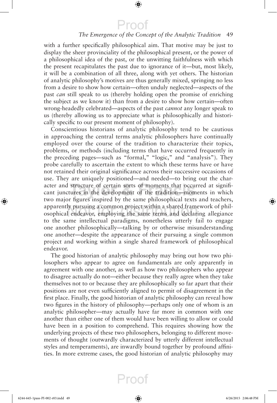⊕

### *The Emergence of the Concept of the Analytic Tradition* 49

with a further specifically philosophical aim. That motive may be just to display the sheer provinciality of the philosophical present, or the power of a philosophical idea of the past, or the unwitting faithfulness with which the present recapitulates the past due to ignorance of it—but, most likely, it will be a combination of all three, along with yet others. The historian of analytic philosophy's motives are thus generally mixed, springing no less from a desire to show how certain—often unduly neglected—aspects of the past *can* still speak to us (thereby holding open the promise of enriching the subject as we know it) than from a desire to show how certain—often wrong-headedly celebrated—aspects of the past *cannot* any longer speak to us (thereby allowing us to appreciate what is philosophically and historically specific to our present moment of philosophy).

Conscientious historians of analytic philosophy tend to be cautious in approaching the central terms analytic philosophers have continually employed over the course of the tradition to characterize their topics, problems, or methods (including terms that have occurred frequently in the preceding pages—such as "formal," "logic," and "analysis"). They probe carefully to ascertain the extent to which these terms have or have not retained their original significance across their successive occasions of use. They are uniquely positioned—and needed—to bring out the character and structure of certain sorts of moments that occurred at significant junctures in the development of the tradition—moments in which two major figures inspired by the same philosophical texts and teachers, apparently pursuing a common project within a shared framework of philosophical endeavor, employing the same terms and declaring allegiance to the same intellectual paradigms, nonetheless utterly fail to engage one another philosophically—talking by or otherwise misunderstanding one another—despite the appearance of their pursuing a single common project and working within a single shared framework of philosophical endeavor.

The good historian of analytic philosophy may bring out how two philosophers who appear to agree on fundamentals are only apparently in agreement with one another, as well as how two philosophers who appear to disagree actually do not—either because they really agree when they take themselves not to or because they are philosophically so far apart that their positions are not even sufficiently aligned to permit of disagreement in the first place. Finally, the good historian of analytic philosophy can reveal how two figures in the history of philosophy—perhaps only one of whom is an analytic philosopher—may actually have far more in common with one another than either one of them would have been willing to allow or could have been in a position to comprehend. This requires showing how the underlying projects of these two philosophers, belonging to different movements of thought (outwardly characterized by utterly different intellectual styles and temperaments), are inwardly bound together by profound affinities. In more extreme cases, the good historian of analytic philosophy may

⊕

⊕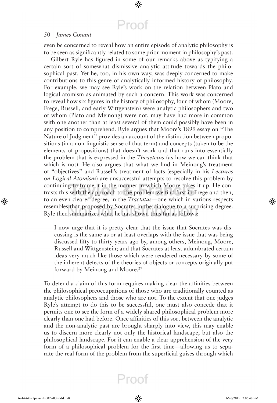#### 50 *James Conant*

even be concerned to reveal how an entire episode of analytic philosophy is to be seen as significantly related to some prior moment in philosophy's past.

⊕

Gilbert Ryle has figured in some of our remarks above as typifying a certain sort of somewhat dismissive analytic attitude towards the philosophical past. Yet he, too, in his own way, was deeply concerned to make contributions to this genre of analytically informed history of philosophy. For example, we may see Ryle's work on the relation between Plato and logical atomism as animated by such a concern. This work was concerned to reveal how six figures in the history of philosophy, four of whom (Moore, Frege, Russell, and early Wittgenstein) were analytic philosophers and two of whom (Plato and Meinong) were not, may have had more in common with one another than at least several of them could possibly have been in any position to comprehend. Ryle argues that Moore's 1899 essay on "The Nature of Judgment" provides an account of the distinction between propositions (in a non-linguistic sense of that term) and concepts (taken to be the elements of propositions) that doesn't work and that runs into essentially the problem that is expressed in the *Theaetetus* (as how we can think that which is not). He also argues that what we find in Meinong's treatment of "objectives" and Russell's treatment of facts (especially in his *Lectures on Logical Atomism*) are unsuccessful attempts to resolve this problem by continuing to frame it in the manner in which Moore takes it up. He contrasts this with the approach to the problem we find first in Frege and then, to an even clearer degree, in the *Tractatus—*one which in various respects resembles that proposed by Socrates in the dialogue to a surprising degree. Ryle then summarizes what he has shown thus far as follows:

I now urge that it is pretty clear that the issue that Socrates was discussing is the same as or at least overlaps with the issue that was being discussed fifty to thirty years ago by, among others, Meinong, Moore, Russell and Wittgenstein; and that Socrates at least adumbrated certain ideas very much like those which were rendered necessary by some of the inherent defects of the theories of objects or concepts originally put forward by Meinong and Moore.<sup>27</sup>

To defend a claim of this form requires making clear the affinities between the philosophical preoccupations of those who are traditionally counted as analytic philosophers and those who are not. To the extent that one judges Ryle's attempt to do this to be successful, one must also concede that it permits one to see the form of a widely shared philosophical problem more clearly than one had before. Once affinities of this sort between the analytic and the non-analytic past are brought sharply into view, this may enable us to discern more clearly not only the historical landscape, but also the philosophical landscape. For it can enable a clear apprehension of the very form of a philosophical problem for the first time—allowing us to separate the real form of the problem from the superficial guises through which

⊕

⊕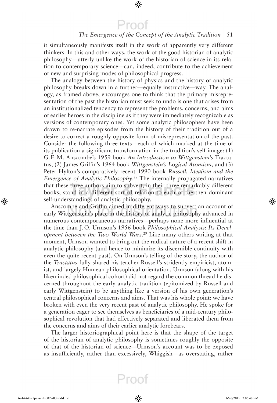⊕

#### *The Emergence of the Concept of the Analytic Tradition* 51

it simultaneously manifests itself in the work of apparently very different thinkers. In this and other ways, the work of the good historian of analytic philosophy—utterly unlike the work of the historian of science in its relation to contemporary science—can, indeed, contribute to the achievement of new and surprising modes of philosophical progress.

The analogy between the history of physics and the history of analytic philosophy breaks down in a further—equally instructive—way. The analogy, as framed above, encourages one to think that the primary misrepresentation of the past the historian must seek to undo is one that arises from an institutionalized tendency to represent the problems, concerns, and aims of earlier heroes in the discipline as if they were immediately recognizable as versions of contemporary ones. Yet some analytic philosophers have been drawn to re-narrate episodes from the history of their tradition out of a desire to correct a roughly opposite form of misrepresentation of the past. Consider the following three texts—each of which marked at the time of its publication a significant transformation in the tradition's self-image: (1) G.E.M. Anscombe's 1959 book *An Introduction to Wittgenstein's* Tractatus, (2) James Griffin's 1964 book *Wittgenstein's Logical Atomism*, and (3) Peter Hylton's comparatively recent 1990 book *Russell, Idealism and the Emergence of Analytic Philosophy*. 28 The internally propagated narratives that these three authors aim to subvert, in their three remarkably different books, stand in a different sort of relation to each of the then dominant self-understandings of analytic philosophy.

Anscombe and Griffin aimed in different ways to subvert an account of early Wittgenstein's place in the history of analytic philosophy advanced in numerous contemporaneous narratives—perhaps none more influential at the time than J.O. Urmson's 1956 book *Philosophical Analysis: Its Development between the Two World Wars*. 29 Like many others writing at that moment, Urmson wanted to bring out the radical nature of a recent shift in analytic philosophy (and hence to minimize its discernible continuity with even the quite recent past). On Urmson's telling of the story, the author of the *Tractatus* fully shared his teacher Russell's stridently empiricist, atomist, and largely Humean philosophical orientation. Urmson (along with his likeminded philosophical cohort) did not regard the common thread he discerned throughout the early analytic tradition (epitomized by Russell and early Wittgenstein) to be anything like a version of his own generation's central philosophical concerns and aims. That was his whole point: we have broken with even the very recent past of analytic philosophy. He spoke for a generation eager to see themselves as beneficiaries of a mid-century philosophical revolution that had effectively separated and liberated them from the concerns and aims of their earlier analytic forebears.

The larger historiographical point here is that the shape of the target of the historian of analytic philosophy is sometimes roughly the opposite of that of the historian of science—Urmson's account was to be exposed as insufficiently, rather than excessively, Whiggish—as overstating, rather

⊕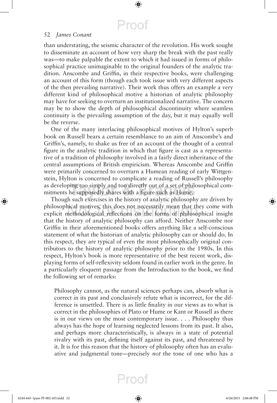⊕

#### 52 *James Conant*

than understating, the seismic character of the revolution. His work sought to disseminate an account of how very sharp the break with the past really was—to make palpable the extent to which it had issued in forms of philosophical practice unimaginable to the original founders of the analytic tradition. Anscombe and Griffin, in their respective books, were challenging an account of this form (though each took issue with very different aspects of the then prevailing narrative). Their work thus offers an example a very different kind of philosophical motive a historian of analytic philosophy may have for seeking to overturn an institutionalized narrative. The concern may be to show the depth of philosophical discontinuity where seamless continuity is the prevailing assumption of the day, but it may equally well be the reverse.

One of the many interlacing philosophical motives of Hylton's superb book on Russell bears a certain resemblance to an aim of Anscombe's and Griffin's, namely, to shake us free of an account of the thought of a central figure in the analytic tradition in which that figure is cast as a representative of a tradition of philosophy involved in a fairly direct inheritance of the central assumptions of British empiricism. Whereas Anscombe and Griffin were primarily concerned to overturn a Humean reading of early Wittgenstein, Hylton is concerned to complicate a reading of Russell's philosophy as developing too simply and too directly out of a set of philosophical commitments he supposedly shares with a figure such as Hume.

Though such exercises in the history of analytic philosophy are driven by philosophical motives, this does not necessarily mean that they come with explicit methodological reflections on the forms of philosophical insight that the history of analytic philosophy can afford. Neither Anscombe nor Griffin in their aforementioned books offers anything like a self-conscious statement of what the historian of analytic philosophy can or should do. In this respect, they are typical of even the most philosophically original contributors to the history of analytic philosophy prior to the 1980s. In this respect, Hylton's book is more representative of the best recent work, displaying forms of self-reflexivity seldom found in earlier work in the genre. In a particularly eloquent passage from the Introduction to the book, we find the following set of remarks:

Philosophy cannot, as the natural sciences perhaps can, absorb what is correct in its past and conclusively refute what is incorrect, for the difference is unsettled. There is as little finality in our views as to what is correct in the philosophies of Plato or Hume or Kant or Russell as there is in our views on the most contemporary issue. . . . Philosophy thus always has the hope of learning neglected lessons from its past. It also, and perhaps more characteristically, is always in a state of potential rivalry with its past, defining itself against its past, and threatened by it. It is for this reason that the history of philosophy often has an evaluative and judgmental tone—precisely *not* the tone of one who has a

⊕

⊕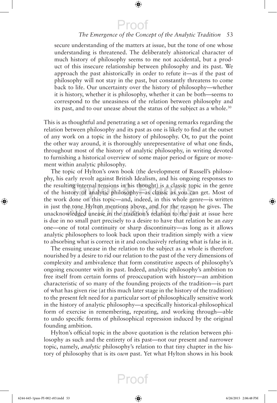⊕

### *The Emergence of the Concept of the Analytic Tradition* 53

secure understanding of the matters at issue, but the tone of one whose understanding is threatened. The deliberately ahistorical character of much history of philosophy seems to me not accidental, but a product of this insecure relationship between philosophy and its past. We approach the past ahistorically in order to refute it—as if the past of philosophy will not stay in the past, but constantly threatens to come back to life. Our uncertainty over the history of philosophy—whether it is history, whether it is philosophy, whether it can be both—seems to correspond to the uneasiness of the relation between philosophy and its past, and to our unease about the status of the subject as a whole.<sup>30</sup>

This is as thoughtful and penetrating a set of opening remarks regarding the relation between philosophy and its past as one is likely to find at the outset of any work on a topic in the history of philosophy. Or, to put the point the other way around, it is thoroughly unrepresentative of what one finds, throughout most of the history of analytic philosophy, in writing devoted to furnishing a historical overview of some major period or figure or movement within analytic philosophy.

The topic of Hylton's own book (the development of Russell's philosophy, his early revolt against British Idealism, and his ongoing responses to the resulting internal tensions in his thought) is a classic topic in the genre of the history of analytic philosophy—as classic as you can get. Most of the work done on this topic—and, indeed, in this whole genre—is written in just the tone Hylton mentions above, and for the reason he gives. The unacknowledged unease in the tradition's relation to the past at issue here is due in no small part precisely to a desire to have that relation be an *easy* one—one of total continuity or sharp discontinuity—as long as it allows analytic philosophers to look back upon their tradition simply with a view to absorbing what is correct in it and conclusively refuting what is false in it.

The ensuing unease in the relation to the subject as a whole is therefore nourished by a desire to rid our relation to the past of the very dimensions of complexity and ambivalence that form constitutive aspects of philosophy's ongoing encounter with its past. Indeed, analytic philosophy's ambition to free itself from certain forms of preoccupation with history—an ambition characteristic of so many of the founding projects of the tradition—is part of what has given rise (at this much later stage in the history of the tradition) to the present felt need for a particular sort of philosophically sensitive work in the history of analytic philosophy—a specifically historical-philosophical form of exercise in remembering, repeating, and working through—able to undo specific forms of philosophical repression induced by the original founding ambition.

Hylton's official topic in the above quotation is the relation between philosophy as such and the entirety of its past—not our present and narrower topic, namely, *analytic* philosophy's relation to that tiny chapter in the history of philosophy that is its *own* past. Yet what Hylton shows in his book

⊕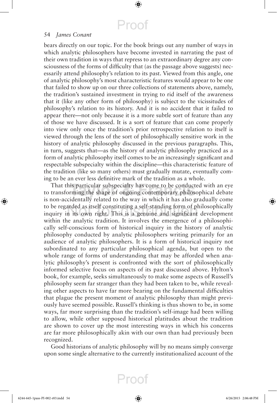⊕

#### 54 *James Conant*

bears directly on our topic. For the book brings out any number of ways in which analytic philosophers have become invested in narrating the past of their own tradition in ways that repress to an extraordinary degree any consciousness of the forms of difficulty that (as the passage above suggests) necessarily attend philosophy's relation to its past. Viewed from this angle, one of analytic philosophy's most characteristic features would appear to be one that failed to show up on our three collections of statements above, namely, the tradition's sustained investment in trying to rid itself of the awareness that it (like any other form of philosophy) is subject to the vicissitudes of philosophy's relation to its history. And it is no accident that it failed to appear there—not only because it is a more subtle sort of feature than any of those we have discussed. It is a sort of feature that can come properly into view only once the tradition's prior retrospective relation to itself is viewed through the lens of the sort of philosophically sensitive work in the history of analytic philosophy discussed in the previous paragraphs. This, in turn, suggests that—as the history of analytic philosophy practiced as a form of analytic philosophy itself comes to be an increasingly significant and respectable subspecialty within the discipline—this characteristic feature of the tradition (like so many others) must gradually mutate, eventually coming to be an ever less definitive mark of the tradition as a whole.

That this particular subspecialty has come to be conducted with an eye to transforming the shape of ongoing contemporary philosophical debate is non-accidentally related to the way in which it has also gradually come to be regarded as itself constituting a self-standing form of philosophically inquiry in its own right. This is a genuine and significant development within the analytic tradition. It involves the emergence of a philosophically self-conscious form of historical inquiry in the history of analytic philosophy conducted by analytic philosophers writing primarily for an audience of analytic philosophers. It is a form of historical inquiry not subordinated to any particular philosophical agenda, but open to the whole range of forms of understanding that may be afforded when analytic philosophy's present is confronted with the sort of philosophically informed selective focus on aspects of its past discussed above. Hylton's book, for example, seeks simultaneously to make some aspects of Russell's philosophy seem far stranger than they had been taken to be, while revealing other aspects to have far more bearing on the fundamental difficulties that plague the present moment of analytic philosophy than might previously have seemed possible. Russell's thinking is thus shown to be, in some ways, far more surprising than the tradition's self-image had been willing to allow, while other supposed historical platitudes about the tradition are shown to cover up the most interesting ways in which his concerns are far more philosophically akin with our own than had previously been recognized.

Good historians of analytic philosophy will by no means simply converge upon some single alternative to the currently institutionalized account of the

⊕

⊕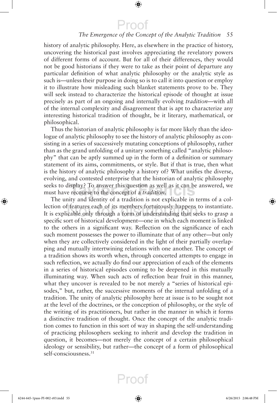⊕

### *The Emergence of the Concept of the Analytic Tradition* 55

history of analytic philosophy. Here, as elsewhere in the practice of history, uncovering the historical past involves appreciating the revelatory powers of different forms of account. But for all of their differences, they would not be good historians if they were to take as their point of departure any particular definition of what analytic philosophy or the analytic style as such is—unless their purpose in doing so is to call it into question or employ it to illustrate how misleading such blanket statements prove to be. They will seek instead to characterize the historical episode of thought at issue precisely as part of an ongoing and internally evolving *tradition—*with all of the internal complexity and disagreement that is apt to characterize any interesting historical tradition of thought, be it literary, mathematical, or philosophical.

Thus the historian of analytic philosophy is far more likely than the ideologue of analytic philosophy to see the history of analytic philosophy as consisting in a series of successively mutating conceptions of philosophy, rather than as the grand unfolding of a unitary something called "analytic philosophy" that can be aptly summed up in the form of a definition or summary statement of its aims, commitments, or style. But if that is true, then what is the history of analytic philosophy a history of? What unifies the diverse, evolving, and contested enterprise that the historian of analytic philosophy seeks to display? To answer this question as well as it can be answered, we must have recourse to the concept of a *tradition*. UTE

The unity and identity of a tradition is not explicable in terms of a collection of features each of its members fortuitously happens to instantiate. It is explicable only through a form of understanding that seeks to grasp a specific sort of historical development—one in which each moment is linked to the others in a significant way. Reflection on the significance of each such moment possesses the power to illuminate that of any other—but only when they are collectively considered in the light of their partially overlapping and mutually intertwining relations with one another. The concept of a tradition shows its worth when, through concerted attempts to engage in such reflection, we actually do find our appreciation of each of the elements in a series of historical episodes coming to be deepened in this mutually illuminating way. When such acts of reflection bear fruit in this manner, what they uncover is revealed to be not merely a "series of historical episodes," but, rather, the successive moments of the internal unfolding of a tradition. The unity of analytic philosophy here at issue is to be sought not at the level of the doctrines, or the conception of philosophy, or the style of the writing of its practitioners, but rather in the manner in which it forms a distinctive tradition of thought. Once the concept of the analytic tradition comes to function in this sort of way in shaping the self-understanding of practicing philosophers seeking to inherit and develop the tradition in question, it becomes—not merely the concept of a certain philosophical ideology or sensibility, but rather—the concept of a form of philosophical self-consciousness.<sup>31</sup>

6244-645-1pass-PI-002-r03.indd 55 6/26/2015 2:06:48 PM

⊕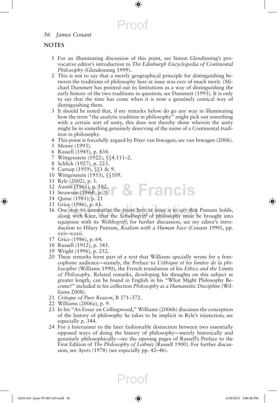#### 56 *James Conant*

#### **NOTES**

1 For an illuminating discussion of this point, see Simon Glendinning's provocative editor's introduction to *The Edinburgh Encyclopedia of Continental Philosophy* (Glendenning 1999).

⊕

- 2 This is not to say that a merely geographical principle for distinguishing between the traditions of philosophy here at issue was ever of much merit. (Michael Dummett has pointed out its limitations as a way of distinguishing the early history of the two traditions in question; see Dummett (1993). It is only to say that the time has come when it is now a genuinely comical way of distinguishing them.
- 3 It should be noted that, if my remarks below do go any way in illuminating how the term "the analytic tradition in philosophy" might pick out something with a certain sort of unity, this does not thereby show wherein the unity might lie in something genuinely deserving of the name of a Continental *tradition* in philosophy.
- 4 This point is forcefully argued by Peter van Inwagen; see van Inwagen (2006).
- 5 Moore (1993).
- 6 Russell (1945), p. 834.
- 7 Wittgenstein (1922), §§4.111–2.
- 8 Schlick (1927), p. 223.
- 9 Carnap (1959), §§1 & 9.
- 10 Wittgenstein (1953), §§109.
- 11 Ryle (2002), p. 1.
- 12 Austin (1961), p. 182.
- & Francis 13 Strawson (1964), p. 9.
- 14 Quine (1981), p. 21
- 15 Grice (1986), p. 61.

⊕

- 16 One way to summarize the point here at issue is to say that Putnam holds, along with Kant, that the *Schulbegriff* of philosophy must be brought into equipoise with its *Weltbegriff*; for further discussion, see my editor's introduction to Hilary Putnam, *Realism with a Human Face* (Conant 1990), pp. xxiv–xxxii.
- 17 Grice (1986), p. 64.
- 18 Russell (1912), p. 345.
- 19 Wright (1996), p. 252.
- 20 These remarks form part of a text that Williams specially wrote for a francophone audience—namely, the Preface to *L'éthique et les limites de la philosophie* (Williams 1990), the French translation of his *Ethics and the Limits of Philosophy*. Related remarks, developing his thoughts on this subject at greater length, can be found in English in his "What Might Philosophy Become?" included in his collection *Philosophy as a Humanistic Discipline* (Williams 2008).
- 21 *Critique of Pure Reason*, B 371–372.
- 22 Williams (2006a), p. 9.
- 23 In his "An Essay on Collingwood," Williams (2006b) discusses the conception of the history of philosophy he takes to be implicit in Ryle's injunction; see especially p. 344.
- 24 For a forerunner to the later fashionable distinction between two essentially opposed ways of doing the history of philosophy—merely historically and genuinely philosophically—see the opening pages of Russell's Preface to the First Edition of *The Philosophy of Leibniz* (Russell 1900). For further discussion, see Ayers (1978) (see especially pp. 42–46).

↔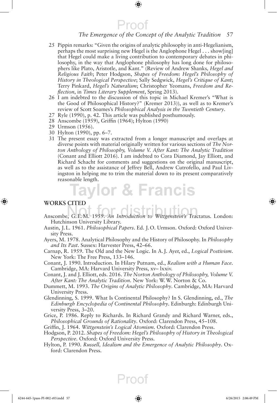⊕

#### *The Emergence of the Concept of the Analytic Tradition* 57

- 25 Pippin remarks: "Given the origins of analytic philosophy in anti-Hegelianism, perhaps the most surprising new Hegel is the Anglophone Hegel . . . show[ing] that Hegel could make a living contribution to contemporary debates in philosophy, in the way that Anglophone philosophy has long done for philosophers like Plato, Aristotle, and Kant." (Review of Andrew Shanks*, Hegel and Religious Faith*; Peter Hodgson, *Shapes of Freedom: Hegel's Philosophy of History in Theological Perspective*; Sally Sedgwick, *Hegel's Critique of Kant*; Terry Pinkard, *Hegel's Naturalism*; Christopher Yeomans, *Freedom and Reflection*, in *Times Literary Supplement*, Spring 2013).
- 26 I am indebted to the discussion of this topic in Michael Kremer's "What is the Good of Philosophical History?" (Kremer 2013)), as well as to Kremer's review of Scott Soames's *Philosophical Analysis in the Twentieth Century*.
- 27 Ryle (1990), p. 42. This article was published posthumously.
- 28 Anscombe (1959), Griffin (1964); Hylton (1990)
- 29 Urmson (1956).
- 30 Hylton (1990), pp. 6–7.
- 31 The present essay was extracted from a longer manuscript and overlaps at diverse points with material originally written for various sections of *The Norton Anthology of Philosophy, Volume V. After Kant: The Analytic Tradition* (Conant and Elliott 2016). I am indebted to Cora Diamond, Jay Elliott, and Richard Schacht for comments and suggestions on the original manuscript, as well as to the assistance of Jeffrey Bell, Andrew Cutrofello, and Paul Livingston in helping me to trim the material down to its present comparatively reasonable length.

#### **WORKS CITED**

⊕

Anscombe, G.E.M. 1959. *An Introduction to Wittgenstein's* Tractatus. London: Hutchinson University Library.

aylor & Francis

- Austin, J.L. 1961. *Philosophical Papers*. Ed. J.O. Urmson. Oxford: Oxford University Press.
- Ayers, M. 1978. Analytical Philosophy and the History of Philosophy. In *Philosophy and Its Past*. Sussex: Harvester Press, 42–66.
- Carnap, R. 1959. The Old and the New Logic. In A.J. Ayer, ed., *Logical Postivism*. New York: The Free Press, 133–146.

Conant, J. 1990. Introduction. In Hilary Putnam, ed., *Realism with a Human Face*. Cambridge, MA: Harvard University Press, xv– lxxiv.

Conant, J. and J. Elliott, eds. 2016. *The Norton Anthology of Philosophy, Volume V. After Kant: The Analytic Tradition*. New York: W.W. Norton & Co.

- Dummett, M. 1993. *The Origins of Analytic Philosophy*. Cambridge, MA: Harvard University Press.
- Glendinning, S. 1999. What Is Continental Philosophy? In S. Glendinning, ed., *The Edinburgh Encyclopedia of Continental Philosophy*. Edinburgh: Edinburgh University Press, 3–20.

Grice, P. 1986. Reply to Richards. In Richard Grandy and Richard Warner, eds., *Philosophical Grounds of Rationality*. Oxford: Clarendon Press, 45–108.

Griffin, J. 1964. *Wittgenstein's Logical Atomism*. Oxford: Clarendon Press.

- Hodgson, P. 2012. *Shapes of Freedom: Hegel's Philosophy of History in Theological Perspective*. Oxford: Oxford University Press.
- Hylton, P. 1990. *Russell, Idealism and the Emergence of Analytic Philosophy*. Oxford: Clarendon Press.

↔